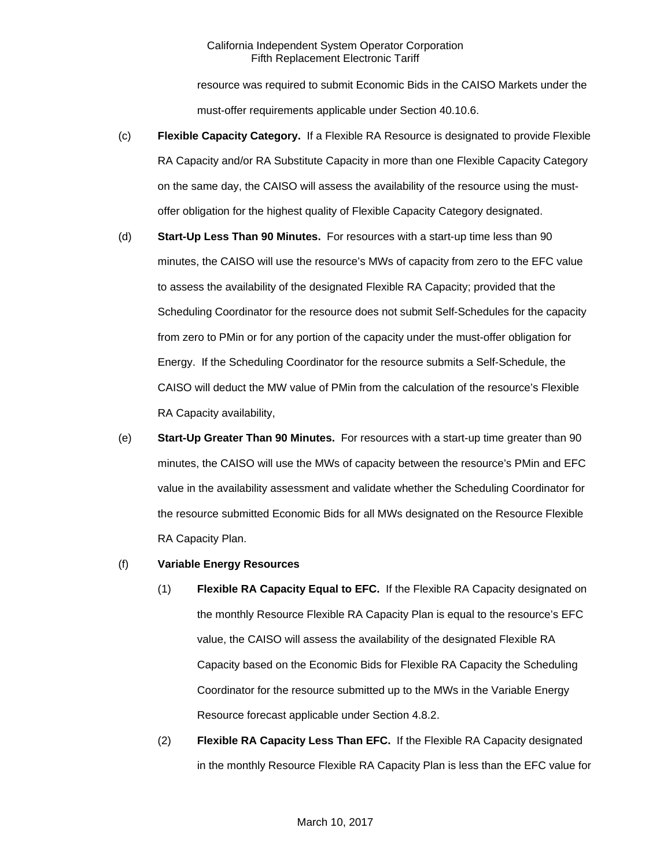resource was required to submit Economic Bids in the CAISO Markets under the must-offer requirements applicable under Section 40.10.6.

- (c) **Flexible Capacity Category.** If a Flexible RA Resource is designated to provide Flexible RA Capacity and/or RA Substitute Capacity in more than one Flexible Capacity Category on the same day, the CAISO will assess the availability of the resource using the mustoffer obligation for the highest quality of Flexible Capacity Category designated.
- (d) **Start-Up Less Than 90 Minutes.** For resources with a start-up time less than 90 minutes, the CAISO will use the resource's MWs of capacity from zero to the EFC value to assess the availability of the designated Flexible RA Capacity; provided that the Scheduling Coordinator for the resource does not submit Self-Schedules for the capacity from zero to PMin or for any portion of the capacity under the must-offer obligation for Energy. If the Scheduling Coordinator for the resource submits a Self-Schedule, the CAISO will deduct the MW value of PMin from the calculation of the resource's Flexible RA Capacity availability,
- (e) **Start-Up Greater Than 90 Minutes.** For resources with a start-up time greater than 90 minutes, the CAISO will use the MWs of capacity between the resource's PMin and EFC value in the availability assessment and validate whether the Scheduling Coordinator for the resource submitted Economic Bids for all MWs designated on the Resource Flexible RA Capacity Plan.
- (f) **Variable Energy Resources**
	- (1) **Flexible RA Capacity Equal to EFC.** If the Flexible RA Capacity designated on the monthly Resource Flexible RA Capacity Plan is equal to the resource's EFC value, the CAISO will assess the availability of the designated Flexible RA Capacity based on the Economic Bids for Flexible RA Capacity the Scheduling Coordinator for the resource submitted up to the MWs in the Variable Energy Resource forecast applicable under Section 4.8.2.
	- (2) **Flexible RA Capacity Less Than EFC.** If the Flexible RA Capacity designated in the monthly Resource Flexible RA Capacity Plan is less than the EFC value for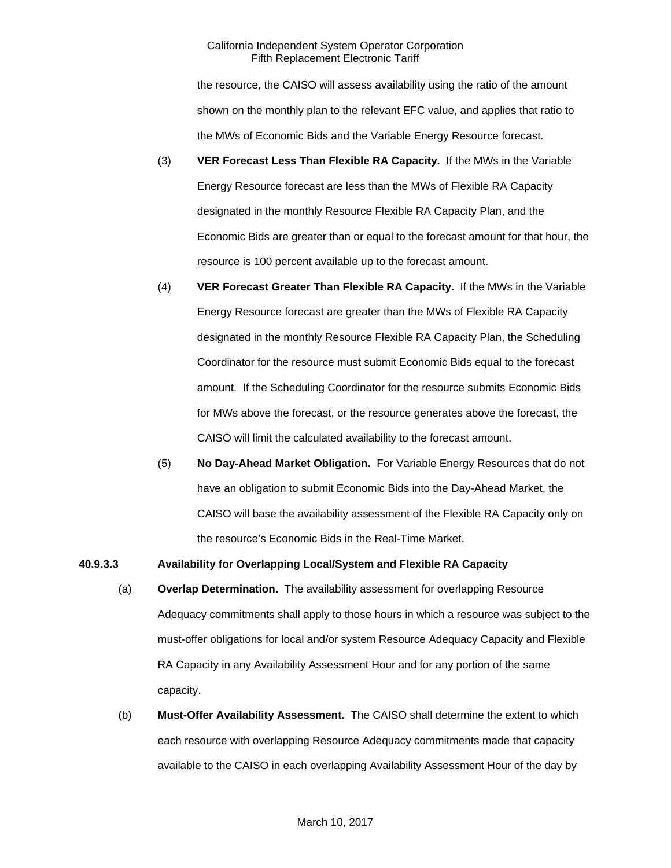the resource, the CAISO will assess availability using the ratio of the amount shown on the monthly plan to the relevant EFC value, and applies that ratio to the MWs of Economic Bids and the Variable Energy Resource forecast.

- (3) **VER Forecast Less Than Flexible RA Capacity.** If the MWs in the Variable Energy Resource forecast are less than the MWs of Flexible RA Capacity designated in the monthly Resource Flexible RA Capacity Plan, and the Economic Bids are greater than or equal to the forecast amount for that hour, the resource is 100 percent available up to the forecast amount.
- (4) **VER Forecast Greater Than Flexible RA Capacity.** If the MWs in the Variable Energy Resource forecast are greater than the MWs of Flexible RA Capacity designated in the monthly Resource Flexible RA Capacity Plan, the Scheduling Coordinator for the resource must submit Economic Bids equal to the forecast amount. If the Scheduling Coordinator for the resource submits Economic Bids for MWs above the forecast, or the resource generates above the forecast, the CAISO will limit the calculated availability to the forecast amount.
- (5) **No Day-Ahead Market Obligation.** For Variable Energy Resources that do not have an obligation to submit Economic Bids into the Day-Ahead Market, the CAISO will base the availability assessment of the Flexible RA Capacity only on the resource's Economic Bids in the Real-Time Market.

### **40.9.3.3 Availability for Overlapping Local/System and Flexible RA Capacity**

- (a) **Overlap Determination.** The availability assessment for overlapping Resource Adequacy commitments shall apply to those hours in which a resource was subject to the must-offer obligations for local and/or system Resource Adequacy Capacity and Flexible RA Capacity in any Availability Assessment Hour and for any portion of the same capacity.
- (b) **Must-Offer Availability Assessment.** The CAISO shall determine the extent to which each resource with overlapping Resource Adequacy commitments made that capacity available to the CAISO in each overlapping Availability Assessment Hour of the day by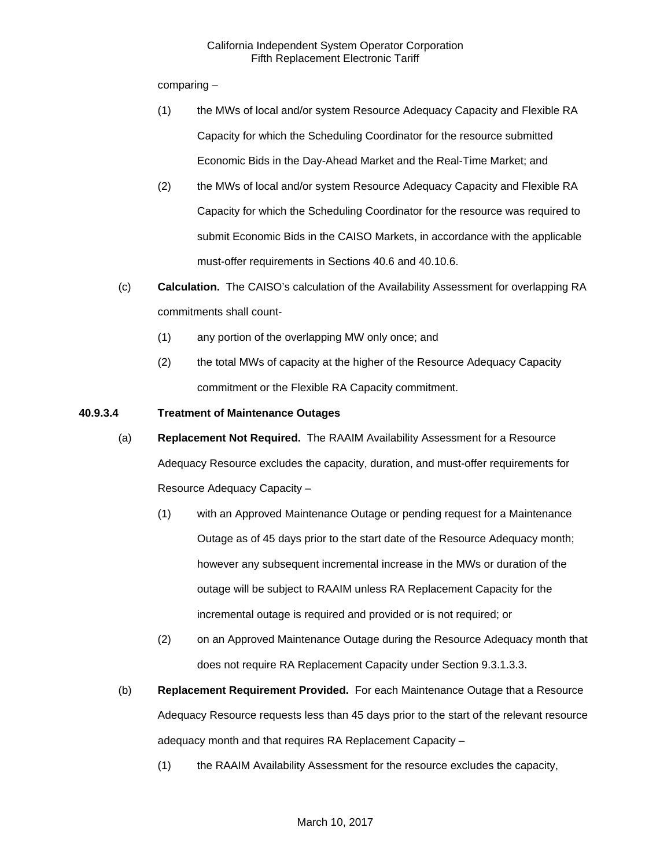comparing –

- (1) the MWs of local and/or system Resource Adequacy Capacity and Flexible RA Capacity for which the Scheduling Coordinator for the resource submitted Economic Bids in the Day-Ahead Market and the Real-Time Market; and
- (2) the MWs of local and/or system Resource Adequacy Capacity and Flexible RA Capacity for which the Scheduling Coordinator for the resource was required to submit Economic Bids in the CAISO Markets, in accordance with the applicable must-offer requirements in Sections 40.6 and 40.10.6.
- (c) **Calculation.** The CAISO's calculation of the Availability Assessment for overlapping RA commitments shall count-
	- (1) any portion of the overlapping MW only once; and
	- (2) the total MWs of capacity at the higher of the Resource Adequacy Capacity commitment or the Flexible RA Capacity commitment.
- **40.9.3.4 Treatment of Maintenance Outages**
	- (a) **Replacement Not Required.** The RAAIM Availability Assessment for a Resource Adequacy Resource excludes the capacity, duration, and must-offer requirements for Resource Adequacy Capacity –
		- (1) with an Approved Maintenance Outage or pending request for a Maintenance Outage as of 45 days prior to the start date of the Resource Adequacy month; however any subsequent incremental increase in the MWs or duration of the outage will be subject to RAAIM unless RA Replacement Capacity for the incremental outage is required and provided or is not required; or
		- (2) on an Approved Maintenance Outage during the Resource Adequacy month that does not require RA Replacement Capacity under Section 9.3.1.3.3.
	- (b) **Replacement Requirement Provided.** For each Maintenance Outage that a Resource Adequacy Resource requests less than 45 days prior to the start of the relevant resource adequacy month and that requires RA Replacement Capacity –
		- (1) the RAAIM Availability Assessment for the resource excludes the capacity,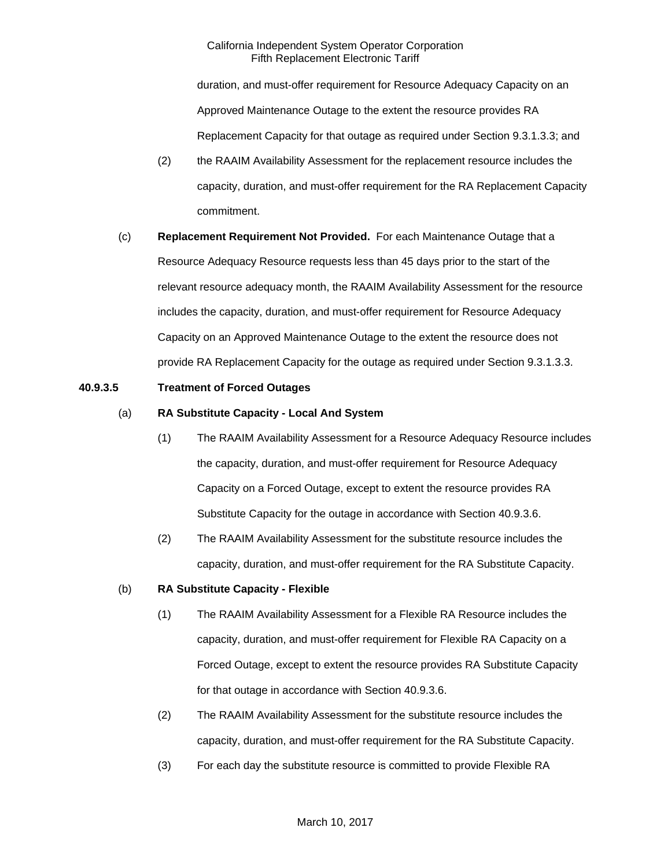duration, and must-offer requirement for Resource Adequacy Capacity on an Approved Maintenance Outage to the extent the resource provides RA Replacement Capacity for that outage as required under Section 9.3.1.3.3; and

- (2) the RAAIM Availability Assessment for the replacement resource includes the capacity, duration, and must-offer requirement for the RA Replacement Capacity commitment.
- (c) **Replacement Requirement Not Provided.** For each Maintenance Outage that a Resource Adequacy Resource requests less than 45 days prior to the start of the relevant resource adequacy month, the RAAIM Availability Assessment for the resource includes the capacity, duration, and must-offer requirement for Resource Adequacy Capacity on an Approved Maintenance Outage to the extent the resource does not provide RA Replacement Capacity for the outage as required under Section 9.3.1.3.3.

### **40.9.3.5 Treatment of Forced Outages**

# (a) **RA Substitute Capacity - Local And System**

- (1) The RAAIM Availability Assessment for a Resource Adequacy Resource includes the capacity, duration, and must-offer requirement for Resource Adequacy Capacity on a Forced Outage, except to extent the resource provides RA Substitute Capacity for the outage in accordance with Section 40.9.3.6.
- (2) The RAAIM Availability Assessment for the substitute resource includes the capacity, duration, and must-offer requirement for the RA Substitute Capacity.

### (b) **RA Substitute Capacity - Flexible**

- (1) The RAAIM Availability Assessment for a Flexible RA Resource includes the capacity, duration, and must-offer requirement for Flexible RA Capacity on a Forced Outage, except to extent the resource provides RA Substitute Capacity for that outage in accordance with Section 40.9.3.6.
- (2) The RAAIM Availability Assessment for the substitute resource includes the capacity, duration, and must-offer requirement for the RA Substitute Capacity.
- (3) For each day the substitute resource is committed to provide Flexible RA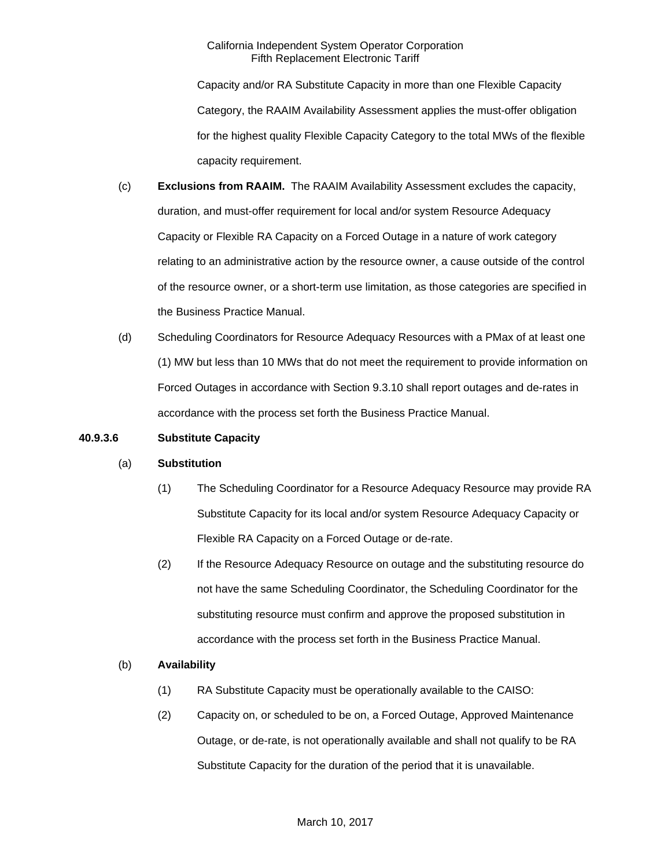Capacity and/or RA Substitute Capacity in more than one Flexible Capacity Category, the RAAIM Availability Assessment applies the must-offer obligation for the highest quality Flexible Capacity Category to the total MWs of the flexible capacity requirement.

- (c) **Exclusions from RAAIM.** The RAAIM Availability Assessment excludes the capacity, duration, and must-offer requirement for local and/or system Resource Adequacy Capacity or Flexible RA Capacity on a Forced Outage in a nature of work category relating to an administrative action by the resource owner, a cause outside of the control of the resource owner, or a short-term use limitation, as those categories are specified in the Business Practice Manual.
- (d) Scheduling Coordinators for Resource Adequacy Resources with a PMax of at least one (1) MW but less than 10 MWs that do not meet the requirement to provide information on Forced Outages in accordance with Section 9.3.10 shall report outages and de-rates in accordance with the process set forth the Business Practice Manual.

### **40.9.3.6 Substitute Capacity**

### (a) **Substitution**

- (1) The Scheduling Coordinator for a Resource Adequacy Resource may provide RA Substitute Capacity for its local and/or system Resource Adequacy Capacity or Flexible RA Capacity on a Forced Outage or de-rate.
- (2) If the Resource Adequacy Resource on outage and the substituting resource do not have the same Scheduling Coordinator, the Scheduling Coordinator for the substituting resource must confirm and approve the proposed substitution in accordance with the process set forth in the Business Practice Manual.

### (b) **Availability**

- (1) RA Substitute Capacity must be operationally available to the CAISO:
- (2) Capacity on, or scheduled to be on, a Forced Outage, Approved Maintenance Outage, or de-rate, is not operationally available and shall not qualify to be RA Substitute Capacity for the duration of the period that it is unavailable.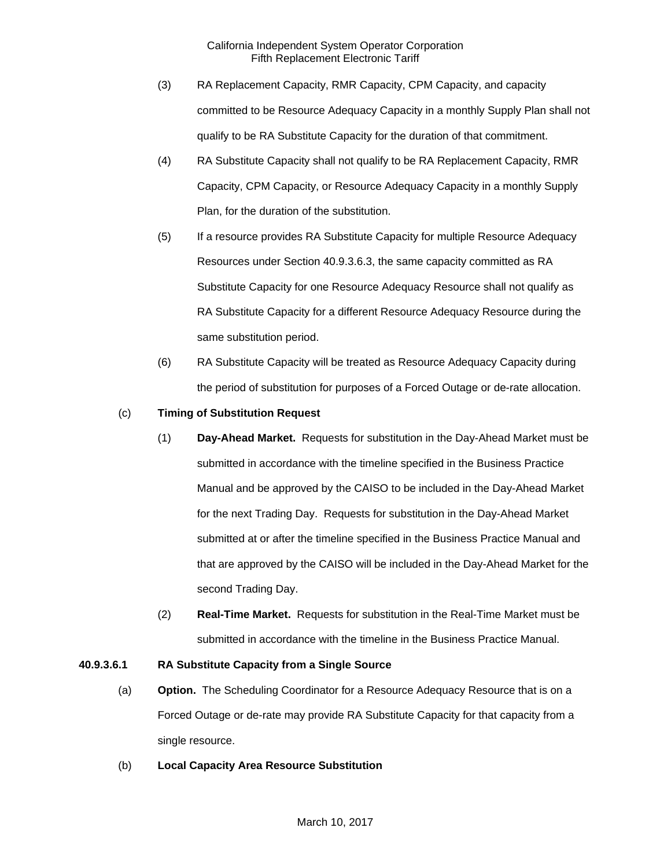- (3) RA Replacement Capacity, RMR Capacity, CPM Capacity, and capacity committed to be Resource Adequacy Capacity in a monthly Supply Plan shall not qualify to be RA Substitute Capacity for the duration of that commitment.
- (4) RA Substitute Capacity shall not qualify to be RA Replacement Capacity, RMR Capacity, CPM Capacity, or Resource Adequacy Capacity in a monthly Supply Plan, for the duration of the substitution.
- (5) If a resource provides RA Substitute Capacity for multiple Resource Adequacy Resources under Section 40.9.3.6.3, the same capacity committed as RA Substitute Capacity for one Resource Adequacy Resource shall not qualify as RA Substitute Capacity for a different Resource Adequacy Resource during the same substitution period.
- (6) RA Substitute Capacity will be treated as Resource Adequacy Capacity during the period of substitution for purposes of a Forced Outage or de-rate allocation.

# (c) **Timing of Substitution Request**

- (1) **Day-Ahead Market.** Requests for substitution in the Day-Ahead Market must be submitted in accordance with the timeline specified in the Business Practice Manual and be approved by the CAISO to be included in the Day-Ahead Market for the next Trading Day. Requests for substitution in the Day-Ahead Market submitted at or after the timeline specified in the Business Practice Manual and that are approved by the CAISO will be included in the Day-Ahead Market for the second Trading Day.
- (2) **Real-Time Market.** Requests for substitution in the Real-Time Market must be submitted in accordance with the timeline in the Business Practice Manual.

### **40.9.3.6.1 RA Substitute Capacity from a Single Source**

- (a) **Option.** The Scheduling Coordinator for a Resource Adequacy Resource that is on a Forced Outage or de-rate may provide RA Substitute Capacity for that capacity from a single resource.
- (b) **Local Capacity Area Resource Substitution**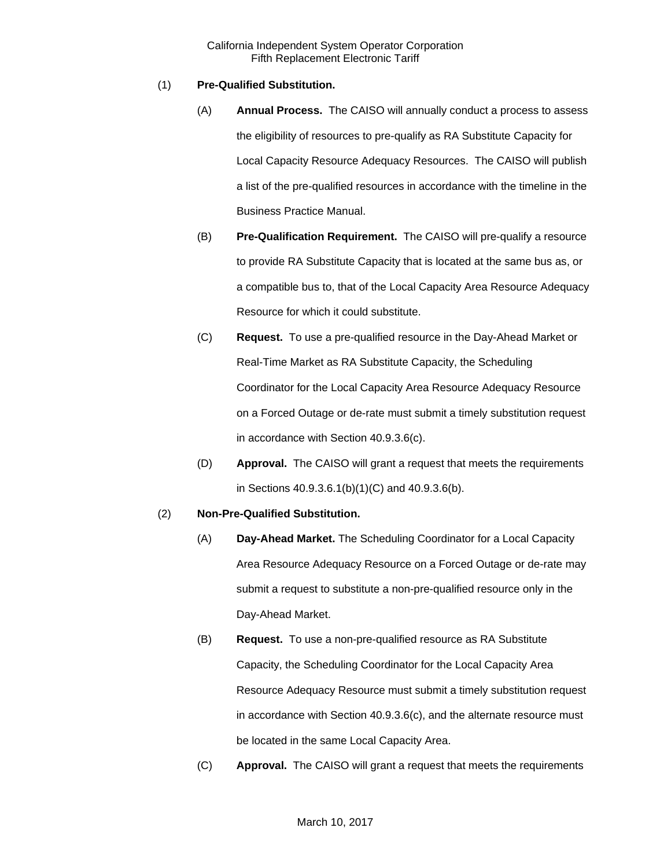# (1) **Pre-Qualified Substitution.**

- (A) **Annual Process.** The CAISO will annually conduct a process to assess the eligibility of resources to pre-qualify as RA Substitute Capacity for Local Capacity Resource Adequacy Resources. The CAISO will publish a list of the pre-qualified resources in accordance with the timeline in the Business Practice Manual.
- (B) **Pre-Qualification Requirement.** The CAISO will pre-qualify a resource to provide RA Substitute Capacity that is located at the same bus as, or a compatible bus to, that of the Local Capacity Area Resource Adequacy Resource for which it could substitute.
- (C) **Request.** To use a pre-qualified resource in the Day-Ahead Market or Real-Time Market as RA Substitute Capacity, the Scheduling Coordinator for the Local Capacity Area Resource Adequacy Resource on a Forced Outage or de-rate must submit a timely substitution request in accordance with Section 40.9.3.6(c).
- (D) **Approval.** The CAISO will grant a request that meets the requirements in Sections 40.9.3.6.1(b)(1)(C) and 40.9.3.6(b).

# (2) **Non-Pre-Qualified Substitution.**

- (A) **Day-Ahead Market.** The Scheduling Coordinator for a Local Capacity Area Resource Adequacy Resource on a Forced Outage or de-rate may submit a request to substitute a non-pre-qualified resource only in the Day-Ahead Market.
- (B) **Request.** To use a non-pre-qualified resource as RA Substitute Capacity, the Scheduling Coordinator for the Local Capacity Area Resource Adequacy Resource must submit a timely substitution request in accordance with Section 40.9.3.6(c), and the alternate resource must be located in the same Local Capacity Area.
- (C) **Approval.** The CAISO will grant a request that meets the requirements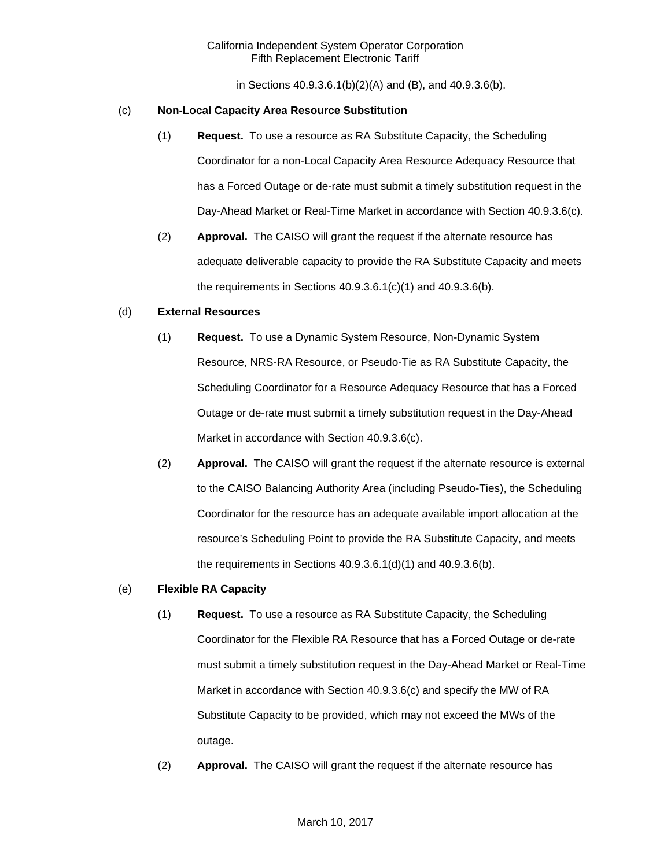in Sections 40.9.3.6.1(b)(2)(A) and (B), and 40.9.3.6(b).

### (c) **Non-Local Capacity Area Resource Substitution**

- (1) **Request.** To use a resource as RA Substitute Capacity, the Scheduling Coordinator for a non-Local Capacity Area Resource Adequacy Resource that has a Forced Outage or de-rate must submit a timely substitution request in the Day-Ahead Market or Real-Time Market in accordance with Section 40.9.3.6(c).
- (2) **Approval.** The CAISO will grant the request if the alternate resource has adequate deliverable capacity to provide the RA Substitute Capacity and meets the requirements in Sections 40.9.3.6.1(c)(1) and 40.9.3.6(b).

## (d) **External Resources**

- (1) **Request.** To use a Dynamic System Resource, Non-Dynamic System Resource, NRS-RA Resource, or Pseudo-Tie as RA Substitute Capacity, the Scheduling Coordinator for a Resource Adequacy Resource that has a Forced Outage or de-rate must submit a timely substitution request in the Day-Ahead Market in accordance with Section 40.9.3.6(c).
- (2) **Approval.** The CAISO will grant the request if the alternate resource is external to the CAISO Balancing Authority Area (including Pseudo-Ties), the Scheduling Coordinator for the resource has an adequate available import allocation at the resource's Scheduling Point to provide the RA Substitute Capacity, and meets the requirements in Sections 40.9.3.6.1(d)(1) and 40.9.3.6(b).

# (e) **Flexible RA Capacity**

- (1) **Request.** To use a resource as RA Substitute Capacity, the Scheduling Coordinator for the Flexible RA Resource that has a Forced Outage or de-rate must submit a timely substitution request in the Day-Ahead Market or Real-Time Market in accordance with Section 40.9.3.6(c) and specify the MW of RA Substitute Capacity to be provided, which may not exceed the MWs of the outage.
- (2) **Approval.** The CAISO will grant the request if the alternate resource has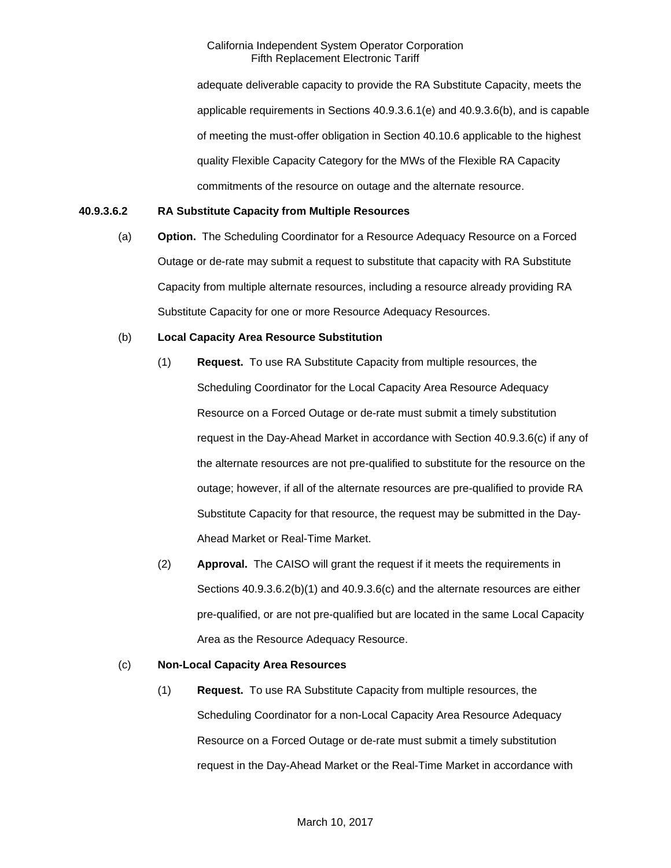adequate deliverable capacity to provide the RA Substitute Capacity, meets the applicable requirements in Sections 40.9.3.6.1(e) and 40.9.3.6(b), and is capable of meeting the must-offer obligation in Section 40.10.6 applicable to the highest quality Flexible Capacity Category for the MWs of the Flexible RA Capacity commitments of the resource on outage and the alternate resource.

## **40.9.3.6.2 RA Substitute Capacity from Multiple Resources**

(a) **Option.** The Scheduling Coordinator for a Resource Adequacy Resource on a Forced Outage or de-rate may submit a request to substitute that capacity with RA Substitute Capacity from multiple alternate resources, including a resource already providing RA Substitute Capacity for one or more Resource Adequacy Resources.

## (b) **Local Capacity Area Resource Substitution**

- (1) **Request.** To use RA Substitute Capacity from multiple resources, the Scheduling Coordinator for the Local Capacity Area Resource Adequacy Resource on a Forced Outage or de-rate must submit a timely substitution request in the Day-Ahead Market in accordance with Section 40.9.3.6(c) if any of the alternate resources are not pre-qualified to substitute for the resource on the outage; however, if all of the alternate resources are pre-qualified to provide RA Substitute Capacity for that resource, the request may be submitted in the Day-Ahead Market or Real-Time Market.
- (2) **Approval.** The CAISO will grant the request if it meets the requirements in Sections 40.9.3.6.2(b)(1) and 40.9.3.6(c) and the alternate resources are either pre-qualified, or are not pre-qualified but are located in the same Local Capacity Area as the Resource Adequacy Resource.

### (c) **Non-Local Capacity Area Resources**

(1) **Request.** To use RA Substitute Capacity from multiple resources, the Scheduling Coordinator for a non-Local Capacity Area Resource Adequacy Resource on a Forced Outage or de-rate must submit a timely substitution request in the Day-Ahead Market or the Real-Time Market in accordance with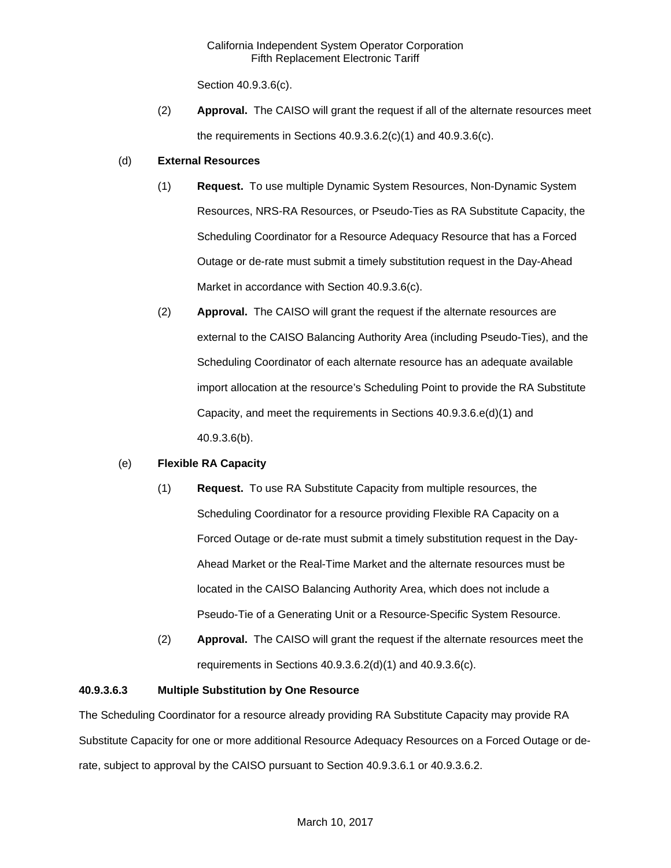Section 40.9.3.6(c).

(2) **Approval.** The CAISO will grant the request if all of the alternate resources meet the requirements in Sections 40.9.3.6.2(c)(1) and 40.9.3.6(c).

### (d) **External Resources**

- (1) **Request.** To use multiple Dynamic System Resources, Non-Dynamic System Resources, NRS-RA Resources, or Pseudo-Ties as RA Substitute Capacity, the Scheduling Coordinator for a Resource Adequacy Resource that has a Forced Outage or de-rate must submit a timely substitution request in the Day-Ahead Market in accordance with Section 40.9.3.6(c).
- (2) **Approval.** The CAISO will grant the request if the alternate resources are external to the CAISO Balancing Authority Area (including Pseudo-Ties), and the Scheduling Coordinator of each alternate resource has an adequate available import allocation at the resource's Scheduling Point to provide the RA Substitute Capacity, and meet the requirements in Sections 40.9.3.6.e(d)(1) and 40.9.3.6(b).

## (e) **Flexible RA Capacity**

- (1) **Request.** To use RA Substitute Capacity from multiple resources, the Scheduling Coordinator for a resource providing Flexible RA Capacity on a Forced Outage or de-rate must submit a timely substitution request in the Day-Ahead Market or the Real-Time Market and the alternate resources must be located in the CAISO Balancing Authority Area, which does not include a Pseudo-Tie of a Generating Unit or a Resource-Specific System Resource.
- (2) **Approval.** The CAISO will grant the request if the alternate resources meet the requirements in Sections 40.9.3.6.2(d)(1) and 40.9.3.6(c).

## **40.9.3.6.3 Multiple Substitution by One Resource**

The Scheduling Coordinator for a resource already providing RA Substitute Capacity may provide RA Substitute Capacity for one or more additional Resource Adequacy Resources on a Forced Outage or derate, subject to approval by the CAISO pursuant to Section 40.9.3.6.1 or 40.9.3.6.2.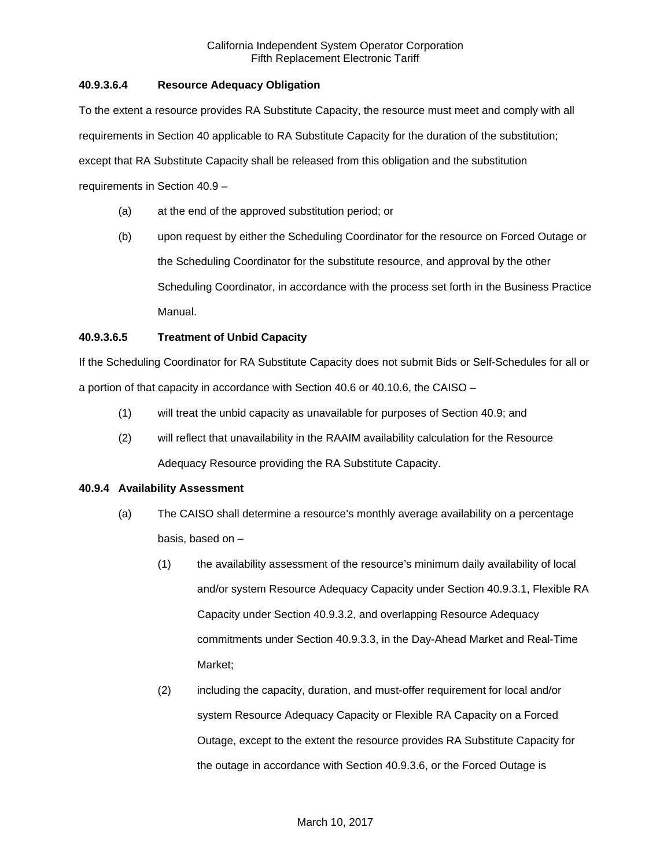## **40.9.3.6.4 Resource Adequacy Obligation**

To the extent a resource provides RA Substitute Capacity, the resource must meet and comply with all requirements in Section 40 applicable to RA Substitute Capacity for the duration of the substitution; except that RA Substitute Capacity shall be released from this obligation and the substitution requirements in Section 40.9 –

- (a) at the end of the approved substitution period; or
- (b) upon request by either the Scheduling Coordinator for the resource on Forced Outage or the Scheduling Coordinator for the substitute resource, and approval by the other Scheduling Coordinator, in accordance with the process set forth in the Business Practice Manual.

## **40.9.3.6.5 Treatment of Unbid Capacity**

If the Scheduling Coordinator for RA Substitute Capacity does not submit Bids or Self-Schedules for all or a portion of that capacity in accordance with Section 40.6 or 40.10.6, the CAISO –

- (1) will treat the unbid capacity as unavailable for purposes of Section 40.9; and
- (2) will reflect that unavailability in the RAAIM availability calculation for the Resource Adequacy Resource providing the RA Substitute Capacity.

#### **40.9.4 Availability Assessment**

- (a) The CAISO shall determine a resource's monthly average availability on a percentage basis, based on –
	- (1) the availability assessment of the resource's minimum daily availability of local and/or system Resource Adequacy Capacity under Section 40.9.3.1, Flexible RA Capacity under Section 40.9.3.2, and overlapping Resource Adequacy commitments under Section 40.9.3.3, in the Day-Ahead Market and Real-Time Market;
	- (2) including the capacity, duration, and must-offer requirement for local and/or system Resource Adequacy Capacity or Flexible RA Capacity on a Forced Outage, except to the extent the resource provides RA Substitute Capacity for the outage in accordance with Section 40.9.3.6, or the Forced Outage is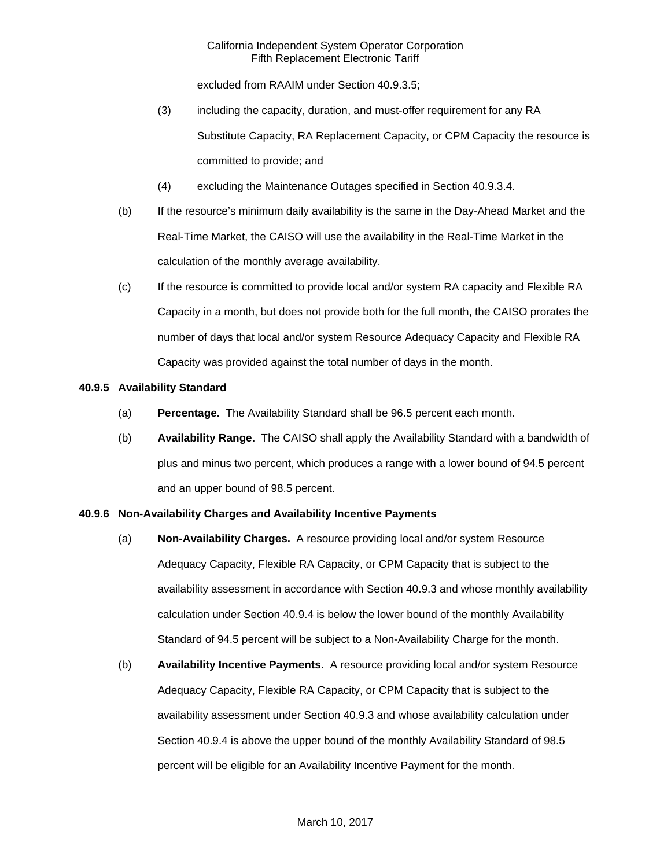excluded from RAAIM under Section 40.9.3.5;

- (3) including the capacity, duration, and must-offer requirement for any RA Substitute Capacity, RA Replacement Capacity, or CPM Capacity the resource is committed to provide; and
- (4) excluding the Maintenance Outages specified in Section 40.9.3.4.
- (b) If the resource's minimum daily availability is the same in the Day-Ahead Market and the Real-Time Market, the CAISO will use the availability in the Real-Time Market in the calculation of the monthly average availability.
- (c) If the resource is committed to provide local and/or system RA capacity and Flexible RA Capacity in a month, but does not provide both for the full month, the CAISO prorates the number of days that local and/or system Resource Adequacy Capacity and Flexible RA Capacity was provided against the total number of days in the month.

### **40.9.5 Availability Standard**

- (a) **Percentage.** The Availability Standard shall be 96.5 percent each month.
- (b) **Availability Range.** The CAISO shall apply the Availability Standard with a bandwidth of plus and minus two percent, which produces a range with a lower bound of 94.5 percent and an upper bound of 98.5 percent.

#### **40.9.6 Non-Availability Charges and Availability Incentive Payments**

- (a) **Non-Availability Charges.** A resource providing local and/or system Resource Adequacy Capacity, Flexible RA Capacity, or CPM Capacity that is subject to the availability assessment in accordance with Section 40.9.3 and whose monthly availability calculation under Section 40.9.4 is below the lower bound of the monthly Availability Standard of 94.5 percent will be subject to a Non-Availability Charge for the month.
- (b) **Availability Incentive Payments.** A resource providing local and/or system Resource Adequacy Capacity, Flexible RA Capacity, or CPM Capacity that is subject to the availability assessment under Section 40.9.3 and whose availability calculation under Section 40.9.4 is above the upper bound of the monthly Availability Standard of 98.5 percent will be eligible for an Availability Incentive Payment for the month.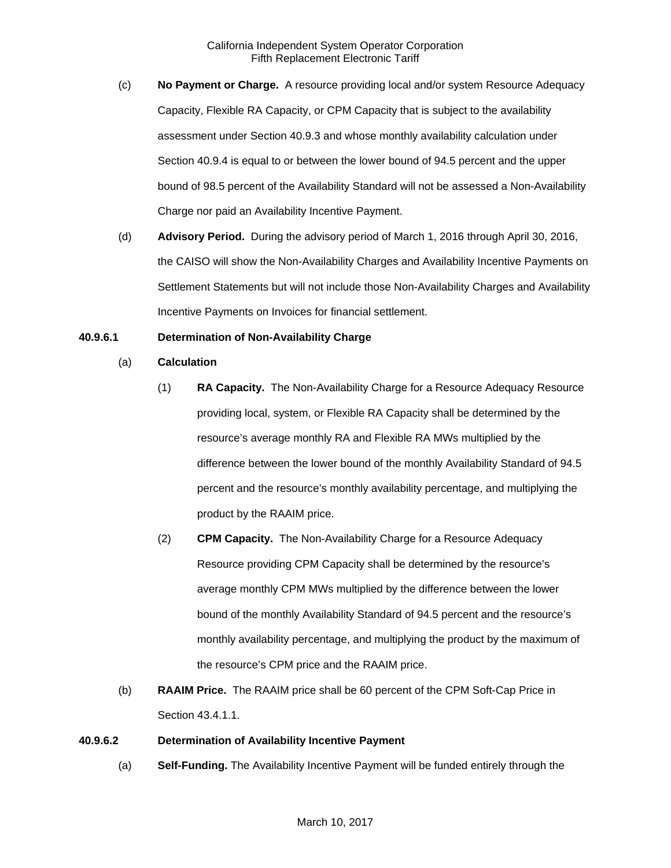- (c) **No Payment or Charge.** A resource providing local and/or system Resource Adequacy Capacity, Flexible RA Capacity, or CPM Capacity that is subject to the availability assessment under Section 40.9.3 and whose monthly availability calculation under Section 40.9.4 is equal to or between the lower bound of 94.5 percent and the upper bound of 98.5 percent of the Availability Standard will not be assessed a Non-Availability Charge nor paid an Availability Incentive Payment.
- (d) **Advisory Period.** During the advisory period of March 1, 2016 through April 30, 2016, the CAISO will show the Non-Availability Charges and Availability Incentive Payments on Settlement Statements but will not include those Non-Availability Charges and Availability Incentive Payments on Invoices for financial settlement.

### **40.9.6.1 Determination of Non-Availability Charge**

- (a) **Calculation**
	- (1) **RA Capacity.** The Non-Availability Charge for a Resource Adequacy Resource providing local, system, or Flexible RA Capacity shall be determined by the resource's average monthly RA and Flexible RA MWs multiplied by the difference between the lower bound of the monthly Availability Standard of 94.5 percent and the resource's monthly availability percentage, and multiplying the product by the RAAIM price.
	- (2) **CPM Capacity.** The Non-Availability Charge for a Resource Adequacy Resource providing CPM Capacity shall be determined by the resource's average monthly CPM MWs multiplied by the difference between the lower bound of the monthly Availability Standard of 94.5 percent and the resource's monthly availability percentage, and multiplying the product by the maximum of the resource's CPM price and the RAAIM price.
- (b) **RAAIM Price.** The RAAIM price shall be 60 percent of the CPM Soft-Cap Price in Section 43.4.1.1.

#### **40.9.6.2 Determination of Availability Incentive Payment**

(a) **Self-Funding.** The Availability Incentive Payment will be funded entirely through the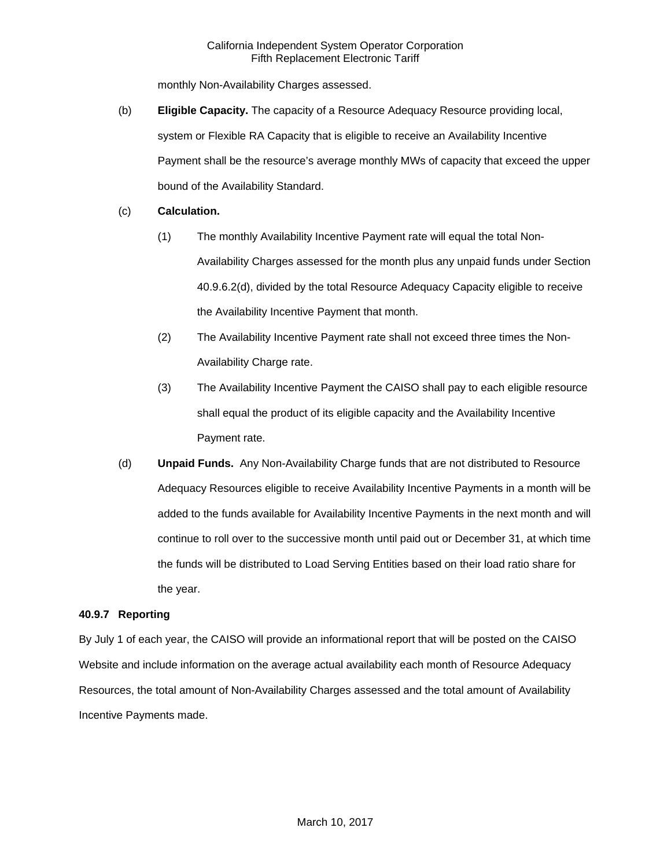monthly Non-Availability Charges assessed.

- (b) **Eligible Capacity.** The capacity of a Resource Adequacy Resource providing local, system or Flexible RA Capacity that is eligible to receive an Availability Incentive Payment shall be the resource's average monthly MWs of capacity that exceed the upper bound of the Availability Standard.
- (c) **Calculation.** 
	- (1) The monthly Availability Incentive Payment rate will equal the total Non-Availability Charges assessed for the month plus any unpaid funds under Section 40.9.6.2(d), divided by the total Resource Adequacy Capacity eligible to receive the Availability Incentive Payment that month.
	- (2) The Availability Incentive Payment rate shall not exceed three times the Non-Availability Charge rate.
	- (3) The Availability Incentive Payment the CAISO shall pay to each eligible resource shall equal the product of its eligible capacity and the Availability Incentive Payment rate.
- (d) **Unpaid Funds.** Any Non-Availability Charge funds that are not distributed to Resource Adequacy Resources eligible to receive Availability Incentive Payments in a month will be added to the funds available for Availability Incentive Payments in the next month and will continue to roll over to the successive month until paid out or December 31, at which time the funds will be distributed to Load Serving Entities based on their load ratio share for the year.

## **40.9.7 Reporting**

By July 1 of each year, the CAISO will provide an informational report that will be posted on the CAISO Website and include information on the average actual availability each month of Resource Adequacy Resources, the total amount of Non-Availability Charges assessed and the total amount of Availability Incentive Payments made.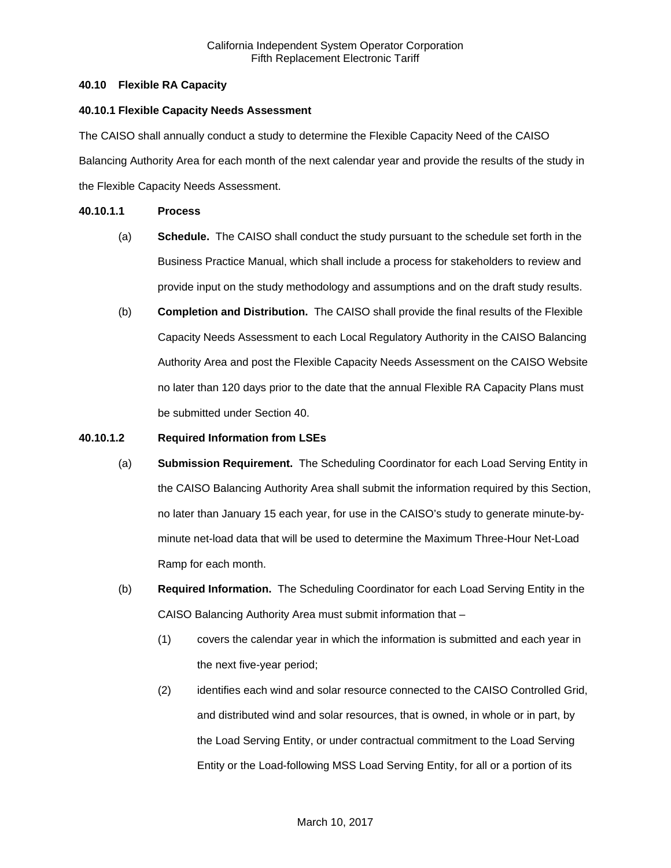## **40.10 Flexible RA Capacity**

#### **40.10.1 Flexible Capacity Needs Assessment**

The CAISO shall annually conduct a study to determine the Flexible Capacity Need of the CAISO Balancing Authority Area for each month of the next calendar year and provide the results of the study in the Flexible Capacity Needs Assessment.

#### **40.10.1.1 Process**

- (a) **Schedule.** The CAISO shall conduct the study pursuant to the schedule set forth in the Business Practice Manual, which shall include a process for stakeholders to review and provide input on the study methodology and assumptions and on the draft study results.
- (b) **Completion and Distribution.** The CAISO shall provide the final results of the Flexible Capacity Needs Assessment to each Local Regulatory Authority in the CAISO Balancing Authority Area and post the Flexible Capacity Needs Assessment on the CAISO Website no later than 120 days prior to the date that the annual Flexible RA Capacity Plans must be submitted under Section 40.

#### **40.10.1.2 Required Information from LSEs**

- (a) **Submission Requirement.** The Scheduling Coordinator for each Load Serving Entity in the CAISO Balancing Authority Area shall submit the information required by this Section, no later than January 15 each year, for use in the CAISO's study to generate minute-byminute net-load data that will be used to determine the Maximum Three-Hour Net-Load Ramp for each month.
- (b) **Required Information.** The Scheduling Coordinator for each Load Serving Entity in the CAISO Balancing Authority Area must submit information that –
	- (1) covers the calendar year in which the information is submitted and each year in the next five-year period;
	- (2) identifies each wind and solar resource connected to the CAISO Controlled Grid, and distributed wind and solar resources, that is owned, in whole or in part, by the Load Serving Entity, or under contractual commitment to the Load Serving Entity or the Load-following MSS Load Serving Entity, for all or a portion of its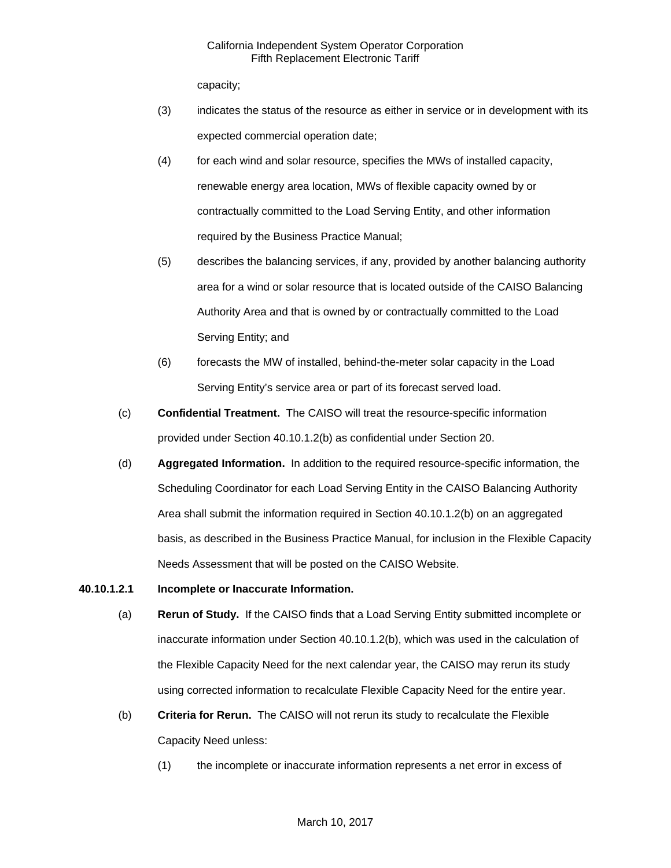capacity;

- (3) indicates the status of the resource as either in service or in development with its expected commercial operation date;
- (4) for each wind and solar resource, specifies the MWs of installed capacity, renewable energy area location, MWs of flexible capacity owned by or contractually committed to the Load Serving Entity, and other information required by the Business Practice Manual;
- (5) describes the balancing services, if any, provided by another balancing authority area for a wind or solar resource that is located outside of the CAISO Balancing Authority Area and that is owned by or contractually committed to the Load Serving Entity; and
- (6) forecasts the MW of installed, behind-the-meter solar capacity in the Load Serving Entity's service area or part of its forecast served load.
- (c) **Confidential Treatment.** The CAISO will treat the resource-specific information provided under Section 40.10.1.2(b) as confidential under Section 20.
- (d) **Aggregated Information.** In addition to the required resource-specific information, the Scheduling Coordinator for each Load Serving Entity in the CAISO Balancing Authority Area shall submit the information required in Section 40.10.1.2(b) on an aggregated basis, as described in the Business Practice Manual, for inclusion in the Flexible Capacity Needs Assessment that will be posted on the CAISO Website.

#### **40.10.1.2.1 Incomplete or Inaccurate Information.**

- (a) **Rerun of Study.** If the CAISO finds that a Load Serving Entity submitted incomplete or inaccurate information under Section 40.10.1.2(b), which was used in the calculation of the Flexible Capacity Need for the next calendar year, the CAISO may rerun its study using corrected information to recalculate Flexible Capacity Need for the entire year.
- (b) **Criteria for Rerun.** The CAISO will not rerun its study to recalculate the Flexible Capacity Need unless:
	- (1) the incomplete or inaccurate information represents a net error in excess of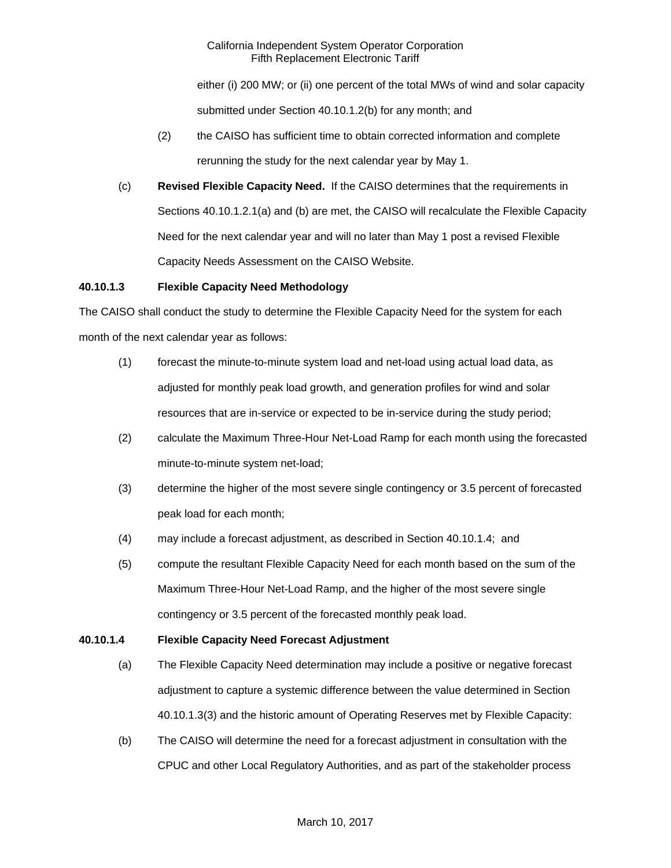either (i) 200 MW; or (ii) one percent of the total MWs of wind and solar capacity submitted under Section 40.10.1.2(b) for any month; and

- (2) the CAISO has sufficient time to obtain corrected information and complete rerunning the study for the next calendar year by May 1.
- (c) **Revised Flexible Capacity Need.** If the CAISO determines that the requirements in Sections 40.10.1.2.1(a) and (b) are met, the CAISO will recalculate the Flexible Capacity Need for the next calendar year and will no later than May 1 post a revised Flexible Capacity Needs Assessment on the CAISO Website.

### **40.10.1.3 Flexible Capacity Need Methodology**

The CAISO shall conduct the study to determine the Flexible Capacity Need for the system for each month of the next calendar year as follows:

- (1) forecast the minute-to-minute system load and net-load using actual load data, as adjusted for monthly peak load growth, and generation profiles for wind and solar resources that are in-service or expected to be in-service during the study period;
- (2) calculate the Maximum Three-Hour Net-Load Ramp for each month using the forecasted minute-to-minute system net-load;
- (3) determine the higher of the most severe single contingency or 3.5 percent of forecasted peak load for each month;
- (4) may include a forecast adjustment, as described in Section 40.10.1.4; and
- (5) compute the resultant Flexible Capacity Need for each month based on the sum of the Maximum Three-Hour Net-Load Ramp, and the higher of the most severe single contingency or 3.5 percent of the forecasted monthly peak load.

## **40.10.1.4 Flexible Capacity Need Forecast Adjustment**

- (a) The Flexible Capacity Need determination may include a positive or negative forecast adjustment to capture a systemic difference between the value determined in Section 40.10.1.3(3) and the historic amount of Operating Reserves met by Flexible Capacity:
- (b) The CAISO will determine the need for a forecast adjustment in consultation with the CPUC and other Local Regulatory Authorities, and as part of the stakeholder process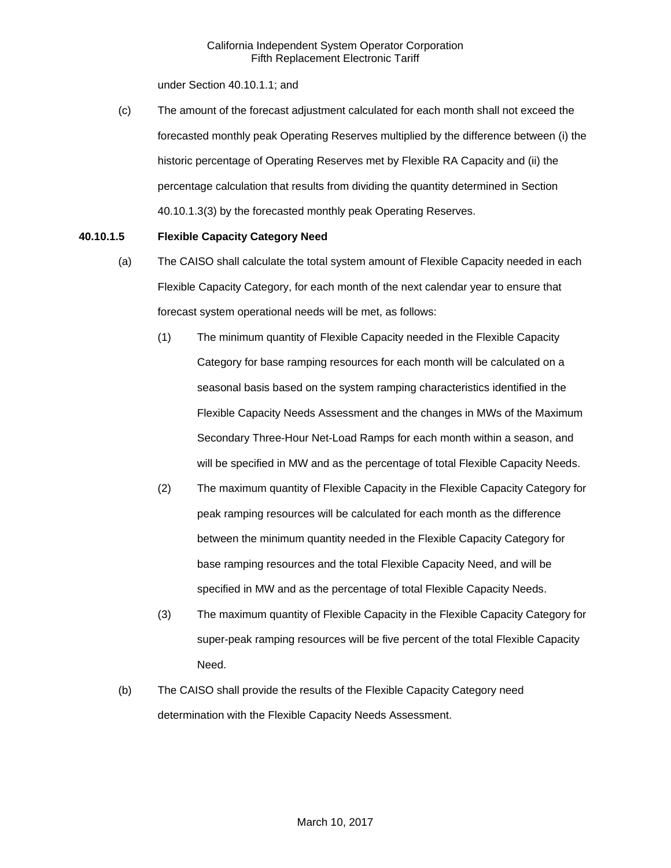under Section 40.10.1.1; and

(c) The amount of the forecast adjustment calculated for each month shall not exceed the forecasted monthly peak Operating Reserves multiplied by the difference between (i) the historic percentage of Operating Reserves met by Flexible RA Capacity and (ii) the percentage calculation that results from dividing the quantity determined in Section 40.10.1.3(3) by the forecasted monthly peak Operating Reserves.

### **40.10.1.5 Flexible Capacity Category Need**

- (a) The CAISO shall calculate the total system amount of Flexible Capacity needed in each Flexible Capacity Category, for each month of the next calendar year to ensure that forecast system operational needs will be met, as follows:
	- (1) The minimum quantity of Flexible Capacity needed in the Flexible Capacity Category for base ramping resources for each month will be calculated on a seasonal basis based on the system ramping characteristics identified in the Flexible Capacity Needs Assessment and the changes in MWs of the Maximum Secondary Three-Hour Net-Load Ramps for each month within a season, and will be specified in MW and as the percentage of total Flexible Capacity Needs.
	- (2) The maximum quantity of Flexible Capacity in the Flexible Capacity Category for peak ramping resources will be calculated for each month as the difference between the minimum quantity needed in the Flexible Capacity Category for base ramping resources and the total Flexible Capacity Need, and will be specified in MW and as the percentage of total Flexible Capacity Needs.
	- (3) The maximum quantity of Flexible Capacity in the Flexible Capacity Category for super-peak ramping resources will be five percent of the total Flexible Capacity Need.
- (b) The CAISO shall provide the results of the Flexible Capacity Category need determination with the Flexible Capacity Needs Assessment.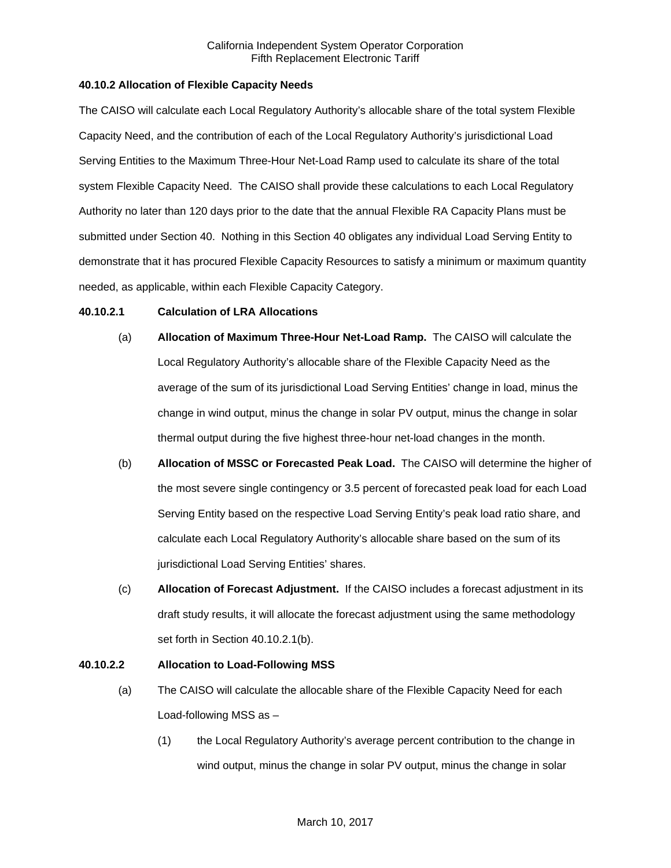### **40.10.2 Allocation of Flexible Capacity Needs**

The CAISO will calculate each Local Regulatory Authority's allocable share of the total system Flexible Capacity Need, and the contribution of each of the Local Regulatory Authority's jurisdictional Load Serving Entities to the Maximum Three-Hour Net-Load Ramp used to calculate its share of the total system Flexible Capacity Need. The CAISO shall provide these calculations to each Local Regulatory Authority no later than 120 days prior to the date that the annual Flexible RA Capacity Plans must be submitted under Section 40. Nothing in this Section 40 obligates any individual Load Serving Entity to demonstrate that it has procured Flexible Capacity Resources to satisfy a minimum or maximum quantity needed, as applicable, within each Flexible Capacity Category.

#### **40.10.2.1 Calculation of LRA Allocations**

- (a) **Allocation of Maximum Three-Hour Net-Load Ramp.** The CAISO will calculate the Local Regulatory Authority's allocable share of the Flexible Capacity Need as the average of the sum of its jurisdictional Load Serving Entities' change in load, minus the change in wind output, minus the change in solar PV output, minus the change in solar thermal output during the five highest three-hour net-load changes in the month.
- (b) **Allocation of MSSC or Forecasted Peak Load.** The CAISO will determine the higher of the most severe single contingency or 3.5 percent of forecasted peak load for each Load Serving Entity based on the respective Load Serving Entity's peak load ratio share, and calculate each Local Regulatory Authority's allocable share based on the sum of its jurisdictional Load Serving Entities' shares.
- (c) **Allocation of Forecast Adjustment.** If the CAISO includes a forecast adjustment in its draft study results, it will allocate the forecast adjustment using the same methodology set forth in Section 40.10.2.1(b).

## **40.10.2.2 Allocation to Load-Following MSS**

- (a) The CAISO will calculate the allocable share of the Flexible Capacity Need for each Load-following MSS as –
	- (1) the Local Regulatory Authority's average percent contribution to the change in wind output, minus the change in solar PV output, minus the change in solar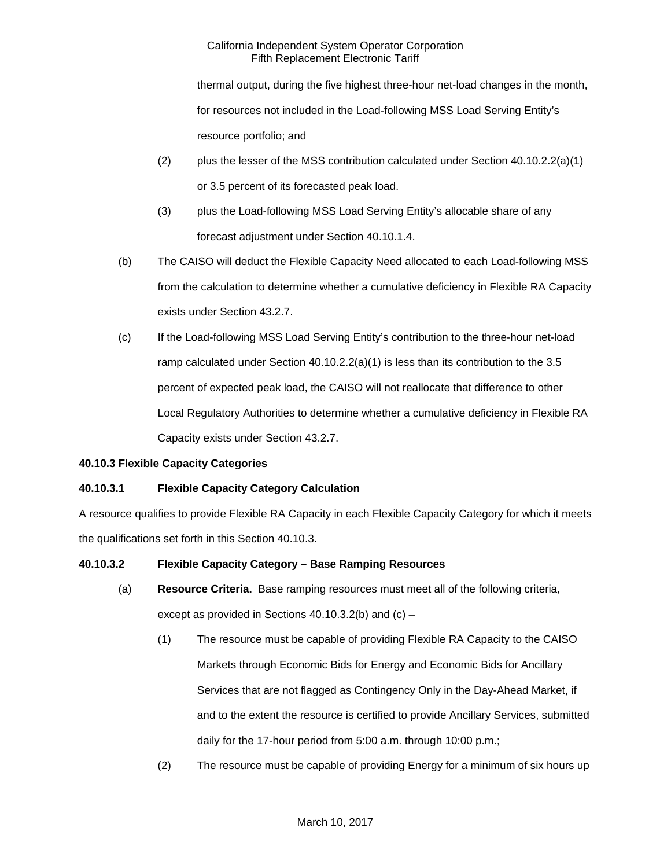thermal output, during the five highest three-hour net-load changes in the month, for resources not included in the Load-following MSS Load Serving Entity's resource portfolio; and

- (2) plus the lesser of the MSS contribution calculated under Section  $40.10.2.2(a)(1)$ or 3.5 percent of its forecasted peak load.
- (3) plus the Load-following MSS Load Serving Entity's allocable share of any forecast adjustment under Section 40.10.1.4.
- (b) The CAISO will deduct the Flexible Capacity Need allocated to each Load-following MSS from the calculation to determine whether a cumulative deficiency in Flexible RA Capacity exists under Section 43.2.7.
- (c) If the Load-following MSS Load Serving Entity's contribution to the three-hour net-load ramp calculated under Section  $40.10.2.2(a)(1)$  is less than its contribution to the 3.5 percent of expected peak load, the CAISO will not reallocate that difference to other Local Regulatory Authorities to determine whether a cumulative deficiency in Flexible RA Capacity exists under Section 43.2.7.

## **40.10.3 Flexible Capacity Categories**

# **40.10.3.1 Flexible Capacity Category Calculation**

A resource qualifies to provide Flexible RA Capacity in each Flexible Capacity Category for which it meets the qualifications set forth in this Section 40.10.3.

## **40.10.3.2 Flexible Capacity Category – Base Ramping Resources**

- (a) **Resource Criteria.** Base ramping resources must meet all of the following criteria, except as provided in Sections 40.10.3.2(b) and (c) –
	- (1) The resource must be capable of providing Flexible RA Capacity to the CAISO Markets through Economic Bids for Energy and Economic Bids for Ancillary Services that are not flagged as Contingency Only in the Day-Ahead Market, if and to the extent the resource is certified to provide Ancillary Services, submitted daily for the 17-hour period from 5:00 a.m. through 10:00 p.m.;
	- (2) The resource must be capable of providing Energy for a minimum of six hours up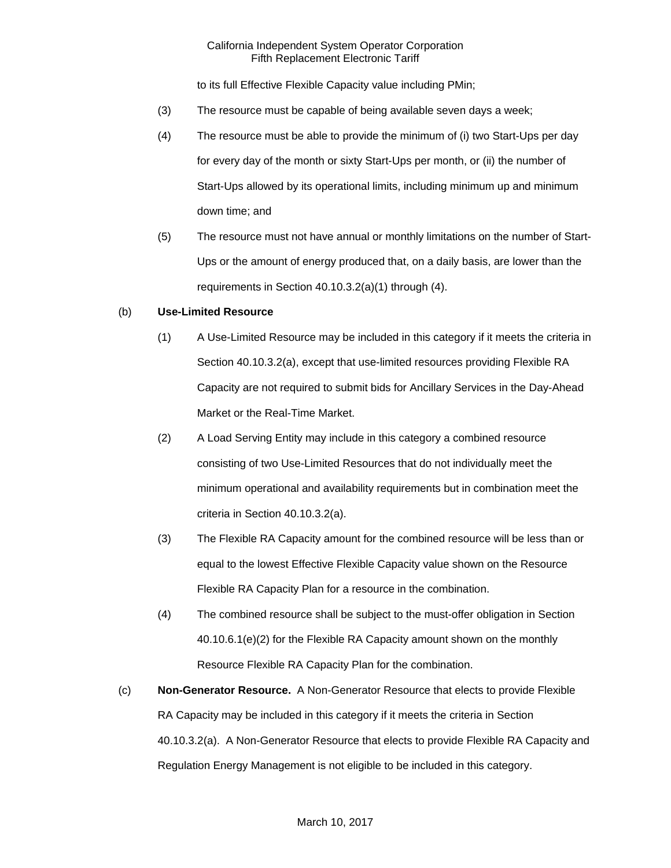to its full Effective Flexible Capacity value including PMin;

- (3) The resource must be capable of being available seven days a week;
- (4) The resource must be able to provide the minimum of (i) two Start-Ups per day for every day of the month or sixty Start-Ups per month, or (ii) the number of Start-Ups allowed by its operational limits, including minimum up and minimum down time; and
- (5) The resource must not have annual or monthly limitations on the number of Start-Ups or the amount of energy produced that, on a daily basis, are lower than the requirements in Section 40.10.3.2(a)(1) through (4).

#### (b) **Use-Limited Resource**

- (1) A Use-Limited Resource may be included in this category if it meets the criteria in Section 40.10.3.2(a), except that use-limited resources providing Flexible RA Capacity are not required to submit bids for Ancillary Services in the Day-Ahead Market or the Real-Time Market.
- (2) A Load Serving Entity may include in this category a combined resource consisting of two Use-Limited Resources that do not individually meet the minimum operational and availability requirements but in combination meet the criteria in Section 40.10.3.2(a).
- (3) The Flexible RA Capacity amount for the combined resource will be less than or equal to the lowest Effective Flexible Capacity value shown on the Resource Flexible RA Capacity Plan for a resource in the combination.
- (4) The combined resource shall be subject to the must-offer obligation in Section 40.10.6.1(e)(2) for the Flexible RA Capacity amount shown on the monthly Resource Flexible RA Capacity Plan for the combination.
- (c) **Non-Generator Resource.** A Non-Generator Resource that elects to provide Flexible RA Capacity may be included in this category if it meets the criteria in Section 40.10.3.2(a). A Non-Generator Resource that elects to provide Flexible RA Capacity and Regulation Energy Management is not eligible to be included in this category.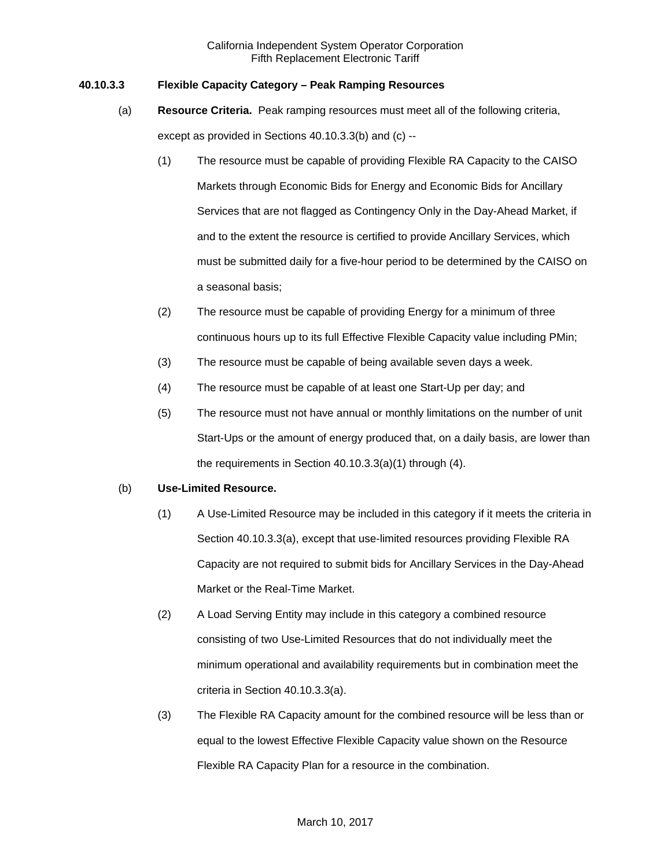### **40.10.3.3 Flexible Capacity Category – Peak Ramping Resources**

- (a) **Resource Criteria.** Peak ramping resources must meet all of the following criteria, except as provided in Sections 40.10.3.3(b) and (c) --
	- (1) The resource must be capable of providing Flexible RA Capacity to the CAISO Markets through Economic Bids for Energy and Economic Bids for Ancillary Services that are not flagged as Contingency Only in the Day-Ahead Market, if and to the extent the resource is certified to provide Ancillary Services, which must be submitted daily for a five-hour period to be determined by the CAISO on a seasonal basis;
	- (2) The resource must be capable of providing Energy for a minimum of three continuous hours up to its full Effective Flexible Capacity value including PMin;
	- (3) The resource must be capable of being available seven days a week.
	- (4) The resource must be capable of at least one Start-Up per day; and
	- (5) The resource must not have annual or monthly limitations on the number of unit Start-Ups or the amount of energy produced that, on a daily basis, are lower than the requirements in Section 40.10.3.3(a)(1) through (4).

#### (b) **Use-Limited Resource.**

- (1) A Use-Limited Resource may be included in this category if it meets the criteria in Section 40.10.3.3(a), except that use-limited resources providing Flexible RA Capacity are not required to submit bids for Ancillary Services in the Day-Ahead Market or the Real-Time Market.
- (2) A Load Serving Entity may include in this category a combined resource consisting of two Use-Limited Resources that do not individually meet the minimum operational and availability requirements but in combination meet the criteria in Section 40.10.3.3(a).
- (3) The Flexible RA Capacity amount for the combined resource will be less than or equal to the lowest Effective Flexible Capacity value shown on the Resource Flexible RA Capacity Plan for a resource in the combination.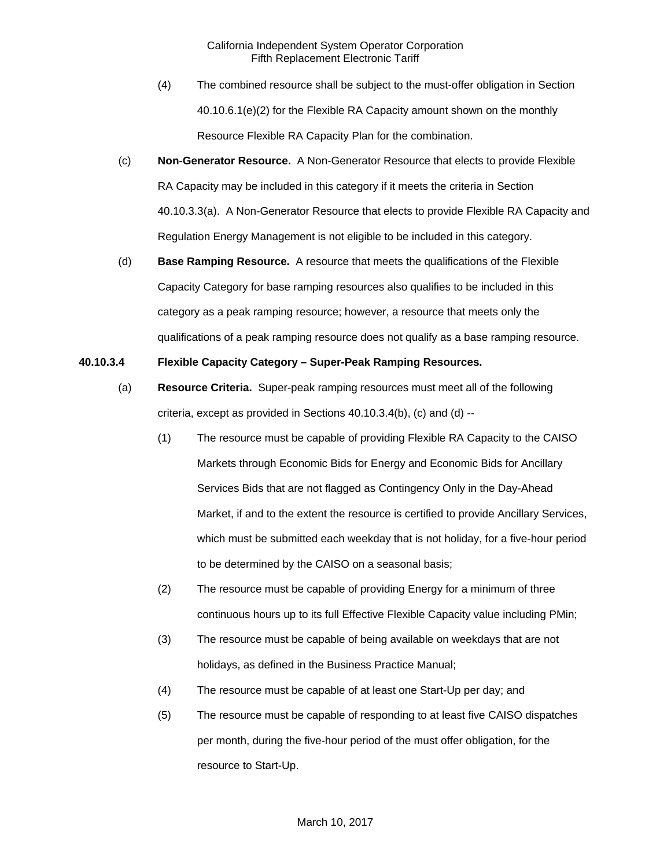- (4) The combined resource shall be subject to the must-offer obligation in Section 40.10.6.1(e)(2) for the Flexible RA Capacity amount shown on the monthly Resource Flexible RA Capacity Plan for the combination.
- (c) **Non-Generator Resource.** A Non-Generator Resource that elects to provide Flexible RA Capacity may be included in this category if it meets the criteria in Section 40.10.3.3(a). A Non-Generator Resource that elects to provide Flexible RA Capacity and Regulation Energy Management is not eligible to be included in this category.
- (d) **Base Ramping Resource.** A resource that meets the qualifications of the Flexible Capacity Category for base ramping resources also qualifies to be included in this category as a peak ramping resource; however, a resource that meets only the qualifications of a peak ramping resource does not qualify as a base ramping resource.

## **40.10.3.4 Flexible Capacity Category – Super-Peak Ramping Resources.**

- (a) **Resource Criteria.** Super-peak ramping resources must meet all of the following criteria, except as provided in Sections 40.10.3.4(b), (c) and (d) --
	- (1) The resource must be capable of providing Flexible RA Capacity to the CAISO Markets through Economic Bids for Energy and Economic Bids for Ancillary Services Bids that are not flagged as Contingency Only in the Day-Ahead Market, if and to the extent the resource is certified to provide Ancillary Services, which must be submitted each weekday that is not holiday, for a five-hour period to be determined by the CAISO on a seasonal basis;
	- (2) The resource must be capable of providing Energy for a minimum of three continuous hours up to its full Effective Flexible Capacity value including PMin;
	- (3) The resource must be capable of being available on weekdays that are not holidays, as defined in the Business Practice Manual;
	- (4) The resource must be capable of at least one Start-Up per day; and
	- (5) The resource must be capable of responding to at least five CAISO dispatches per month, during the five-hour period of the must offer obligation, for the resource to Start-Up.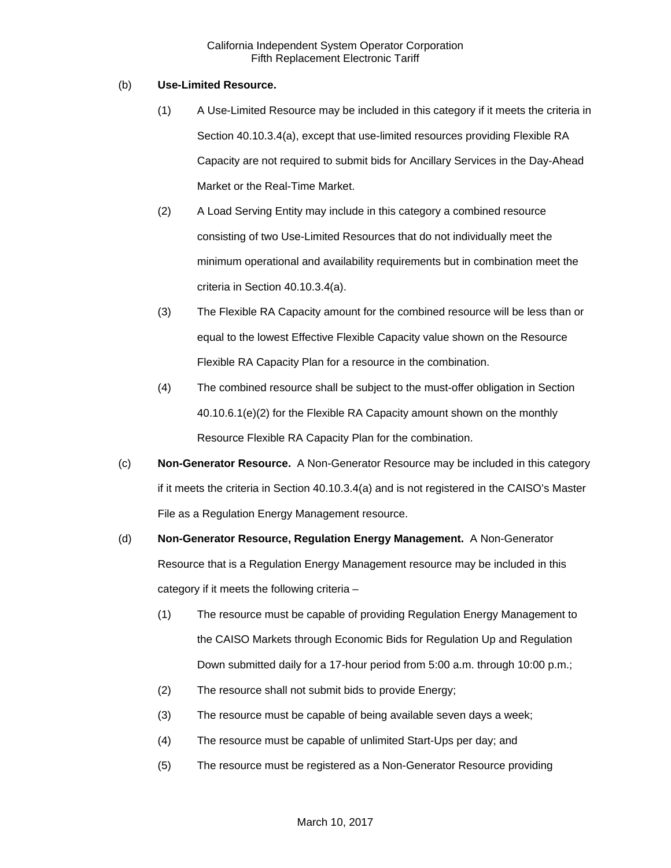### (b) **Use-Limited Resource.**

- (1) A Use-Limited Resource may be included in this category if it meets the criteria in Section 40.10.3.4(a), except that use-limited resources providing Flexible RA Capacity are not required to submit bids for Ancillary Services in the Day-Ahead Market or the Real-Time Market.
- (2) A Load Serving Entity may include in this category a combined resource consisting of two Use-Limited Resources that do not individually meet the minimum operational and availability requirements but in combination meet the criteria in Section 40.10.3.4(a).
- (3) The Flexible RA Capacity amount for the combined resource will be less than or equal to the lowest Effective Flexible Capacity value shown on the Resource Flexible RA Capacity Plan for a resource in the combination.
- (4) The combined resource shall be subject to the must-offer obligation in Section 40.10.6.1(e)(2) for the Flexible RA Capacity amount shown on the monthly Resource Flexible RA Capacity Plan for the combination.
- (c) **Non-Generator Resource.** A Non-Generator Resource may be included in this category if it meets the criteria in Section 40.10.3.4(a) and is not registered in the CAISO's Master File as a Regulation Energy Management resource.
- (d) **Non-Generator Resource, Regulation Energy Management.** A Non-Generator Resource that is a Regulation Energy Management resource may be included in this category if it meets the following criteria –
	- (1) The resource must be capable of providing Regulation Energy Management to the CAISO Markets through Economic Bids for Regulation Up and Regulation Down submitted daily for a 17-hour period from 5:00 a.m. through 10:00 p.m.;
	- (2) The resource shall not submit bids to provide Energy;
	- (3) The resource must be capable of being available seven days a week;
	- (4) The resource must be capable of unlimited Start-Ups per day; and
	- (5) The resource must be registered as a Non-Generator Resource providing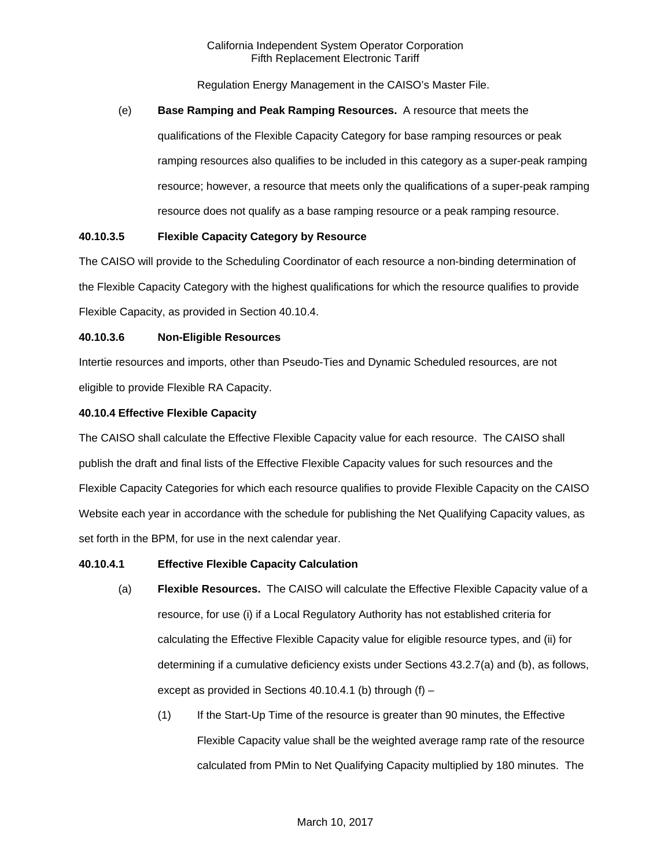Regulation Energy Management in the CAISO's Master File.

#### (e) **Base Ramping and Peak Ramping Resources.** A resource that meets the

qualifications of the Flexible Capacity Category for base ramping resources or peak ramping resources also qualifies to be included in this category as a super-peak ramping resource; however, a resource that meets only the qualifications of a super-peak ramping resource does not qualify as a base ramping resource or a peak ramping resource.

## **40.10.3.5 Flexible Capacity Category by Resource**

The CAISO will provide to the Scheduling Coordinator of each resource a non-binding determination of the Flexible Capacity Category with the highest qualifications for which the resource qualifies to provide Flexible Capacity, as provided in Section 40.10.4.

#### **40.10.3.6 Non-Eligible Resources**

Intertie resources and imports, other than Pseudo-Ties and Dynamic Scheduled resources, are not eligible to provide Flexible RA Capacity.

### **40.10.4 Effective Flexible Capacity**

The CAISO shall calculate the Effective Flexible Capacity value for each resource. The CAISO shall publish the draft and final lists of the Effective Flexible Capacity values for such resources and the Flexible Capacity Categories for which each resource qualifies to provide Flexible Capacity on the CAISO Website each year in accordance with the schedule for publishing the Net Qualifying Capacity values, as set forth in the BPM, for use in the next calendar year.

#### **40.10.4.1 Effective Flexible Capacity Calculation**

- (a) **Flexible Resources.** The CAISO will calculate the Effective Flexible Capacity value of a resource, for use (i) if a Local Regulatory Authority has not established criteria for calculating the Effective Flexible Capacity value for eligible resource types, and (ii) for determining if a cumulative deficiency exists under Sections 43.2.7(a) and (b), as follows, except as provided in Sections 40.10.4.1 (b) through  $(f)$  –
	- (1) If the Start-Up Time of the resource is greater than 90 minutes, the Effective Flexible Capacity value shall be the weighted average ramp rate of the resource calculated from PMin to Net Qualifying Capacity multiplied by 180 minutes. The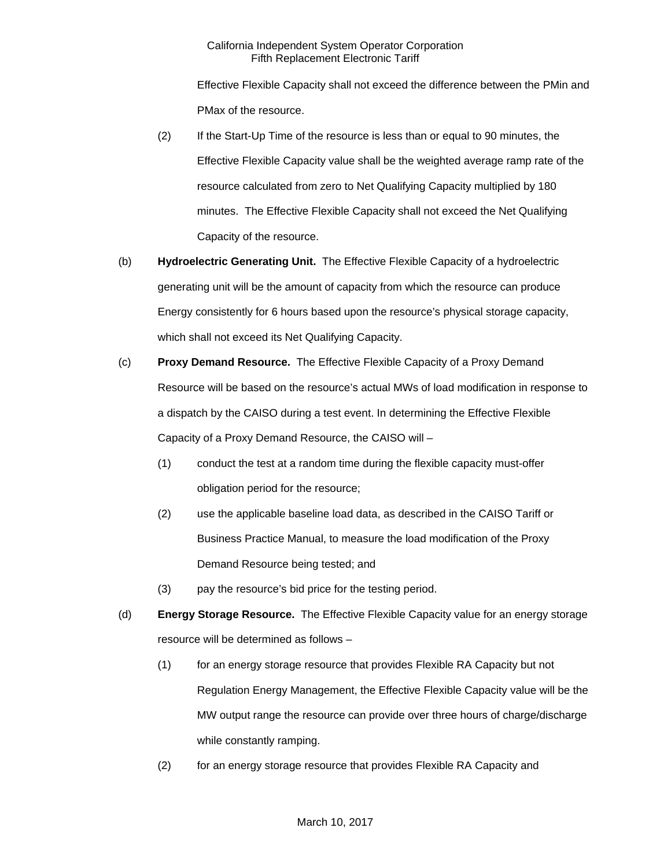Effective Flexible Capacity shall not exceed the difference between the PMin and PMax of the resource.

- (2) If the Start-Up Time of the resource is less than or equal to 90 minutes, the Effective Flexible Capacity value shall be the weighted average ramp rate of the resource calculated from zero to Net Qualifying Capacity multiplied by 180 minutes. The Effective Flexible Capacity shall not exceed the Net Qualifying Capacity of the resource.
- (b) **Hydroelectric Generating Unit.** The Effective Flexible Capacity of a hydroelectric generating unit will be the amount of capacity from which the resource can produce Energy consistently for 6 hours based upon the resource's physical storage capacity, which shall not exceed its Net Qualifying Capacity.
- (c) **Proxy Demand Resource.** The Effective Flexible Capacity of a Proxy Demand Resource will be based on the resource's actual MWs of load modification in response to a dispatch by the CAISO during a test event. In determining the Effective Flexible Capacity of a Proxy Demand Resource, the CAISO will –
	- (1) conduct the test at a random time during the flexible capacity must-offer obligation period for the resource;
	- (2) use the applicable baseline load data, as described in the CAISO Tariff or Business Practice Manual, to measure the load modification of the Proxy Demand Resource being tested; and
	- (3) pay the resource's bid price for the testing period.
- (d) **Energy Storage Resource.** The Effective Flexible Capacity value for an energy storage resource will be determined as follows –
	- (1) for an energy storage resource that provides Flexible RA Capacity but not Regulation Energy Management, the Effective Flexible Capacity value will be the MW output range the resource can provide over three hours of charge/discharge while constantly ramping.
	- (2) for an energy storage resource that provides Flexible RA Capacity and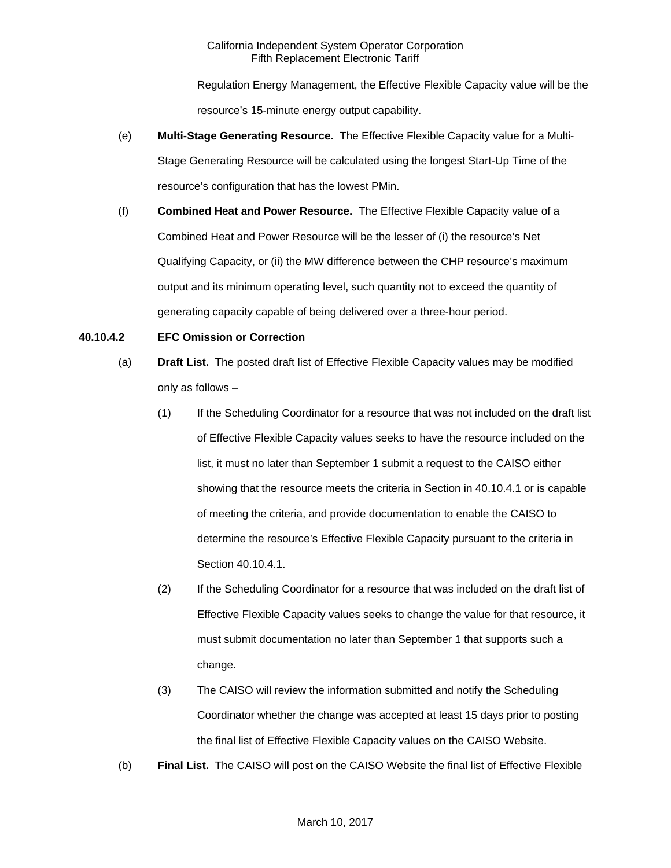Regulation Energy Management, the Effective Flexible Capacity value will be the resource's 15-minute energy output capability.

- (e) **Multi-Stage Generating Resource.** The Effective Flexible Capacity value for a Multi-Stage Generating Resource will be calculated using the longest Start-Up Time of the resource's configuration that has the lowest PMin.
- (f) **Combined Heat and Power Resource.** The Effective Flexible Capacity value of a Combined Heat and Power Resource will be the lesser of (i) the resource's Net Qualifying Capacity, or (ii) the MW difference between the CHP resource's maximum output and its minimum operating level, such quantity not to exceed the quantity of generating capacity capable of being delivered over a three-hour period.

## **40.10.4.2 EFC Omission or Correction**

- (a) **Draft List.** The posted draft list of Effective Flexible Capacity values may be modified only as follows –
	- (1) If the Scheduling Coordinator for a resource that was not included on the draft list of Effective Flexible Capacity values seeks to have the resource included on the list, it must no later than September 1 submit a request to the CAISO either showing that the resource meets the criteria in Section in 40.10.4.1 or is capable of meeting the criteria, and provide documentation to enable the CAISO to determine the resource's Effective Flexible Capacity pursuant to the criteria in Section 40.10.4.1.
	- (2) If the Scheduling Coordinator for a resource that was included on the draft list of Effective Flexible Capacity values seeks to change the value for that resource, it must submit documentation no later than September 1 that supports such a change.
	- (3) The CAISO will review the information submitted and notify the Scheduling Coordinator whether the change was accepted at least 15 days prior to posting the final list of Effective Flexible Capacity values on the CAISO Website.
- (b) **Final List.** The CAISO will post on the CAISO Website the final list of Effective Flexible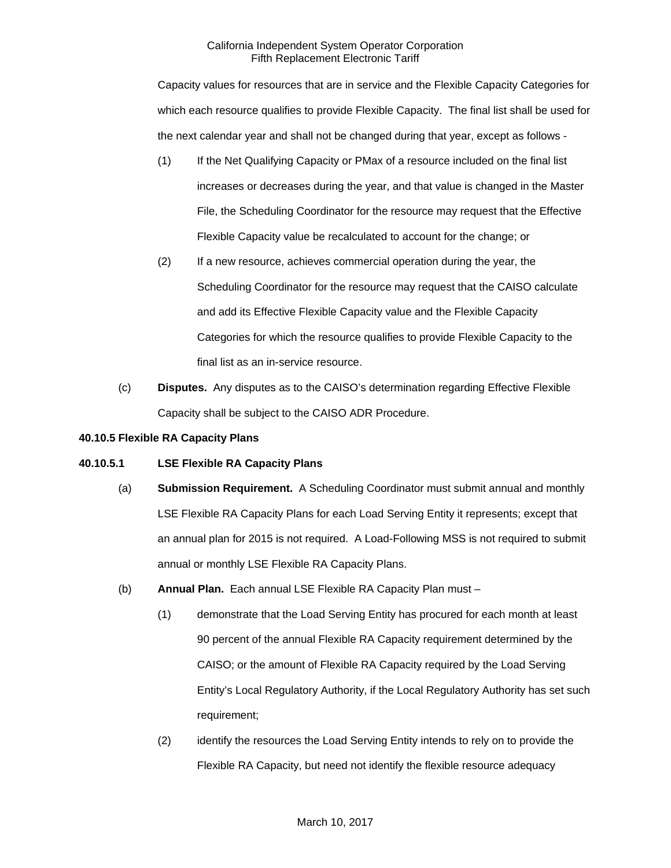Capacity values for resources that are in service and the Flexible Capacity Categories for which each resource qualifies to provide Flexible Capacity. The final list shall be used for the next calendar year and shall not be changed during that year, except as follows -

- (1) If the Net Qualifying Capacity or PMax of a resource included on the final list increases or decreases during the year, and that value is changed in the Master File, the Scheduling Coordinator for the resource may request that the Effective Flexible Capacity value be recalculated to account for the change; or
- (2) If a new resource, achieves commercial operation during the year, the Scheduling Coordinator for the resource may request that the CAISO calculate and add its Effective Flexible Capacity value and the Flexible Capacity Categories for which the resource qualifies to provide Flexible Capacity to the final list as an in-service resource.
- (c) **Disputes.** Any disputes as to the CAISO's determination regarding Effective Flexible Capacity shall be subject to the CAISO ADR Procedure.

### **40.10.5 Flexible RA Capacity Plans**

## **40.10.5.1 LSE Flexible RA Capacity Plans**

- (a) **Submission Requirement.** A Scheduling Coordinator must submit annual and monthly LSE Flexible RA Capacity Plans for each Load Serving Entity it represents; except that an annual plan for 2015 is not required. A Load-Following MSS is not required to submit annual or monthly LSE Flexible RA Capacity Plans.
- (b) **Annual Plan.** Each annual LSE Flexible RA Capacity Plan must
	- (1) demonstrate that the Load Serving Entity has procured for each month at least 90 percent of the annual Flexible RA Capacity requirement determined by the CAISO; or the amount of Flexible RA Capacity required by the Load Serving Entity's Local Regulatory Authority, if the Local Regulatory Authority has set such requirement;
	- (2) identify the resources the Load Serving Entity intends to rely on to provide the Flexible RA Capacity, but need not identify the flexible resource adequacy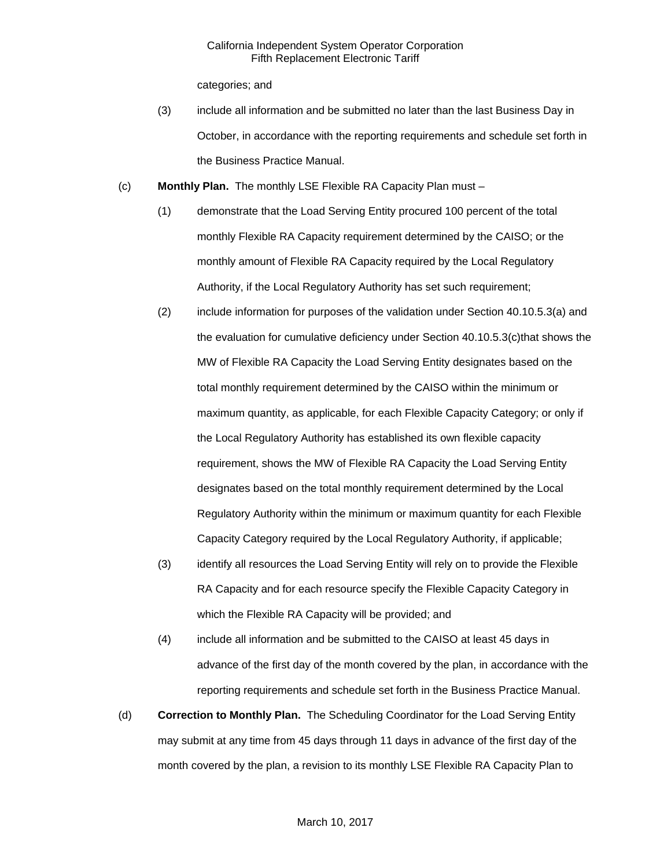categories; and

- (3) include all information and be submitted no later than the last Business Day in October, in accordance with the reporting requirements and schedule set forth in the Business Practice Manual.
- (c) **Monthly Plan.** The monthly LSE Flexible RA Capacity Plan must
	- (1) demonstrate that the Load Serving Entity procured 100 percent of the total monthly Flexible RA Capacity requirement determined by the CAISO; or the monthly amount of Flexible RA Capacity required by the Local Regulatory Authority, if the Local Regulatory Authority has set such requirement;
	- (2) include information for purposes of the validation under Section 40.10.5.3(a) and the evaluation for cumulative deficiency under Section 40.10.5.3(c)that shows the MW of Flexible RA Capacity the Load Serving Entity designates based on the total monthly requirement determined by the CAISO within the minimum or maximum quantity, as applicable, for each Flexible Capacity Category; or only if the Local Regulatory Authority has established its own flexible capacity requirement, shows the MW of Flexible RA Capacity the Load Serving Entity designates based on the total monthly requirement determined by the Local Regulatory Authority within the minimum or maximum quantity for each Flexible Capacity Category required by the Local Regulatory Authority, if applicable;
	- (3) identify all resources the Load Serving Entity will rely on to provide the Flexible RA Capacity and for each resource specify the Flexible Capacity Category in which the Flexible RA Capacity will be provided; and
	- (4) include all information and be submitted to the CAISO at least 45 days in advance of the first day of the month covered by the plan, in accordance with the reporting requirements and schedule set forth in the Business Practice Manual.
- (d) **Correction to Monthly Plan.** The Scheduling Coordinator for the Load Serving Entity may submit at any time from 45 days through 11 days in advance of the first day of the month covered by the plan, a revision to its monthly LSE Flexible RA Capacity Plan to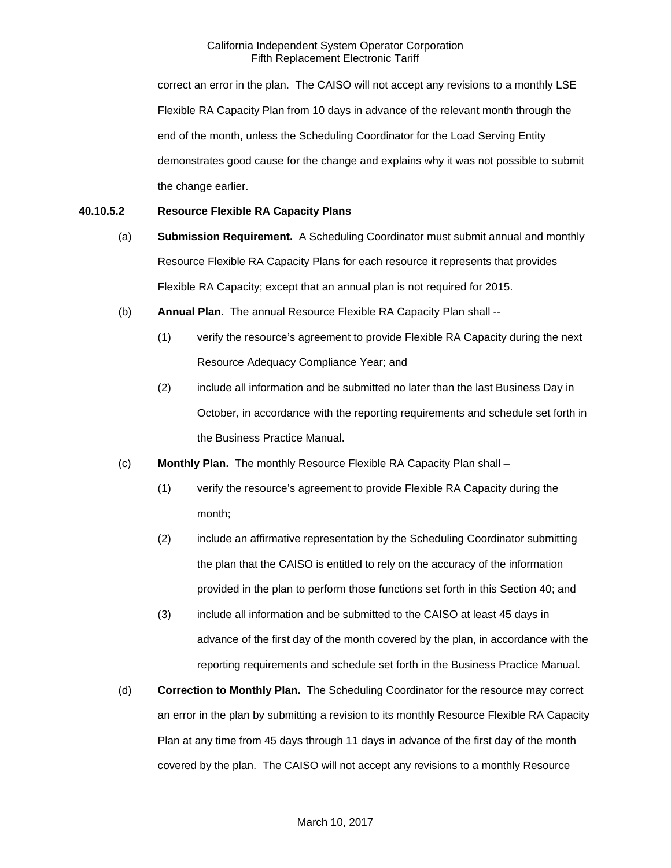correct an error in the plan. The CAISO will not accept any revisions to a monthly LSE Flexible RA Capacity Plan from 10 days in advance of the relevant month through the end of the month, unless the Scheduling Coordinator for the Load Serving Entity demonstrates good cause for the change and explains why it was not possible to submit the change earlier.

## **40.10.5.2 Resource Flexible RA Capacity Plans**

- (a) **Submission Requirement.** A Scheduling Coordinator must submit annual and monthly Resource Flexible RA Capacity Plans for each resource it represents that provides Flexible RA Capacity; except that an annual plan is not required for 2015.
- (b) **Annual Plan.** The annual Resource Flexible RA Capacity Plan shall --
	- (1) verify the resource's agreement to provide Flexible RA Capacity during the next Resource Adequacy Compliance Year; and
	- (2) include all information and be submitted no later than the last Business Day in October, in accordance with the reporting requirements and schedule set forth in the Business Practice Manual.
- (c) **Monthly Plan.** The monthly Resource Flexible RA Capacity Plan shall
	- (1) verify the resource's agreement to provide Flexible RA Capacity during the month;
	- (2) include an affirmative representation by the Scheduling Coordinator submitting the plan that the CAISO is entitled to rely on the accuracy of the information provided in the plan to perform those functions set forth in this Section 40; and
	- (3) include all information and be submitted to the CAISO at least 45 days in advance of the first day of the month covered by the plan, in accordance with the reporting requirements and schedule set forth in the Business Practice Manual.
- (d) **Correction to Monthly Plan.** The Scheduling Coordinator for the resource may correct an error in the plan by submitting a revision to its monthly Resource Flexible RA Capacity Plan at any time from 45 days through 11 days in advance of the first day of the month covered by the plan. The CAISO will not accept any revisions to a monthly Resource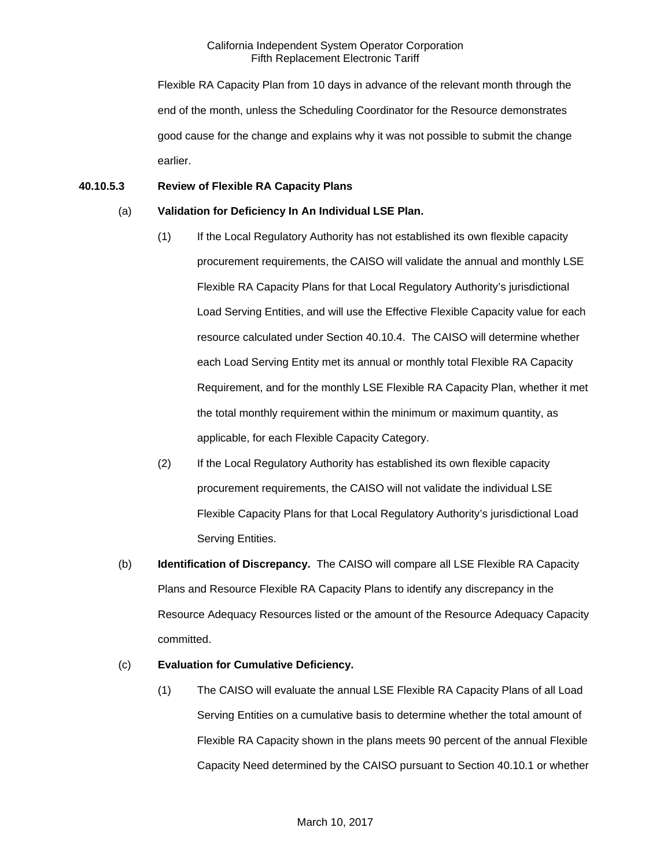Flexible RA Capacity Plan from 10 days in advance of the relevant month through the end of the month, unless the Scheduling Coordinator for the Resource demonstrates good cause for the change and explains why it was not possible to submit the change earlier.

## **40.10.5.3 Review of Flexible RA Capacity Plans**

## (a) **Validation for Deficiency In An Individual LSE Plan.**

- (1) If the Local Regulatory Authority has not established its own flexible capacity procurement requirements, the CAISO will validate the annual and monthly LSE Flexible RA Capacity Plans for that Local Regulatory Authority's jurisdictional Load Serving Entities, and will use the Effective Flexible Capacity value for each resource calculated under Section 40.10.4. The CAISO will determine whether each Load Serving Entity met its annual or monthly total Flexible RA Capacity Requirement, and for the monthly LSE Flexible RA Capacity Plan, whether it met the total monthly requirement within the minimum or maximum quantity, as applicable, for each Flexible Capacity Category.
- (2) If the Local Regulatory Authority has established its own flexible capacity procurement requirements, the CAISO will not validate the individual LSE Flexible Capacity Plans for that Local Regulatory Authority's jurisdictional Load Serving Entities.
- (b) **Identification of Discrepancy.** The CAISO will compare all LSE Flexible RA Capacity Plans and Resource Flexible RA Capacity Plans to identify any discrepancy in the Resource Adequacy Resources listed or the amount of the Resource Adequacy Capacity committed.

# (c) **Evaluation for Cumulative Deficiency.**

(1) The CAISO will evaluate the annual LSE Flexible RA Capacity Plans of all Load Serving Entities on a cumulative basis to determine whether the total amount of Flexible RA Capacity shown in the plans meets 90 percent of the annual Flexible Capacity Need determined by the CAISO pursuant to Section 40.10.1 or whether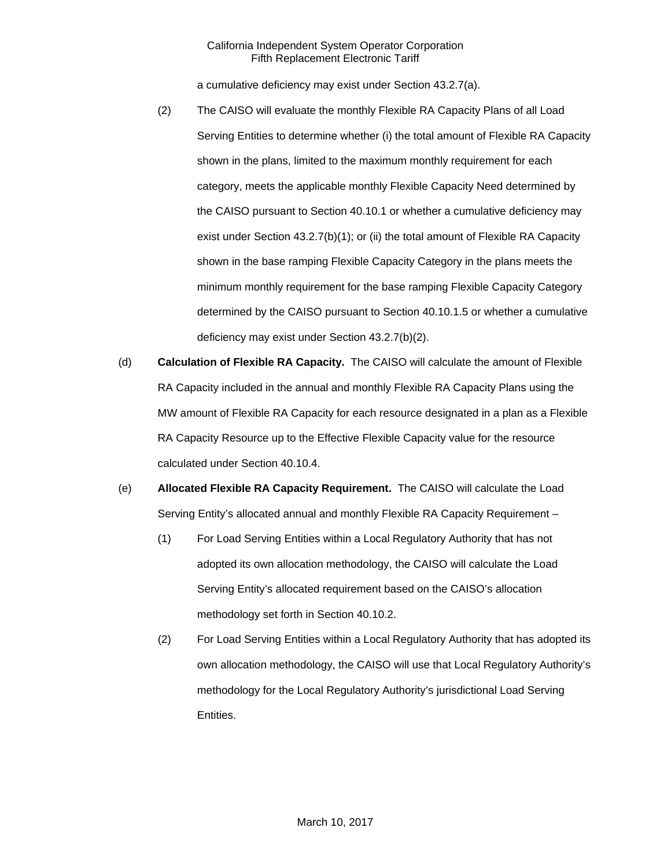a cumulative deficiency may exist under Section 43.2.7(a).

- (2) The CAISO will evaluate the monthly Flexible RA Capacity Plans of all Load Serving Entities to determine whether (i) the total amount of Flexible RA Capacity shown in the plans, limited to the maximum monthly requirement for each category, meets the applicable monthly Flexible Capacity Need determined by the CAISO pursuant to Section 40.10.1 or whether a cumulative deficiency may exist under Section 43.2.7(b)(1); or (ii) the total amount of Flexible RA Capacity shown in the base ramping Flexible Capacity Category in the plans meets the minimum monthly requirement for the base ramping Flexible Capacity Category determined by the CAISO pursuant to Section 40.10.1.5 or whether a cumulative deficiency may exist under Section 43.2.7(b)(2).
- (d) **Calculation of Flexible RA Capacity.** The CAISO will calculate the amount of Flexible RA Capacity included in the annual and monthly Flexible RA Capacity Plans using the MW amount of Flexible RA Capacity for each resource designated in a plan as a Flexible RA Capacity Resource up to the Effective Flexible Capacity value for the resource calculated under Section 40.10.4.
- (e) **Allocated Flexible RA Capacity Requirement.** The CAISO will calculate the Load Serving Entity's allocated annual and monthly Flexible RA Capacity Requirement –
	- (1) For Load Serving Entities within a Local Regulatory Authority that has not adopted its own allocation methodology, the CAISO will calculate the Load Serving Entity's allocated requirement based on the CAISO's allocation methodology set forth in Section 40.10.2.
	- (2) For Load Serving Entities within a Local Regulatory Authority that has adopted its own allocation methodology, the CAISO will use that Local Regulatory Authority's methodology for the Local Regulatory Authority's jurisdictional Load Serving Entities.